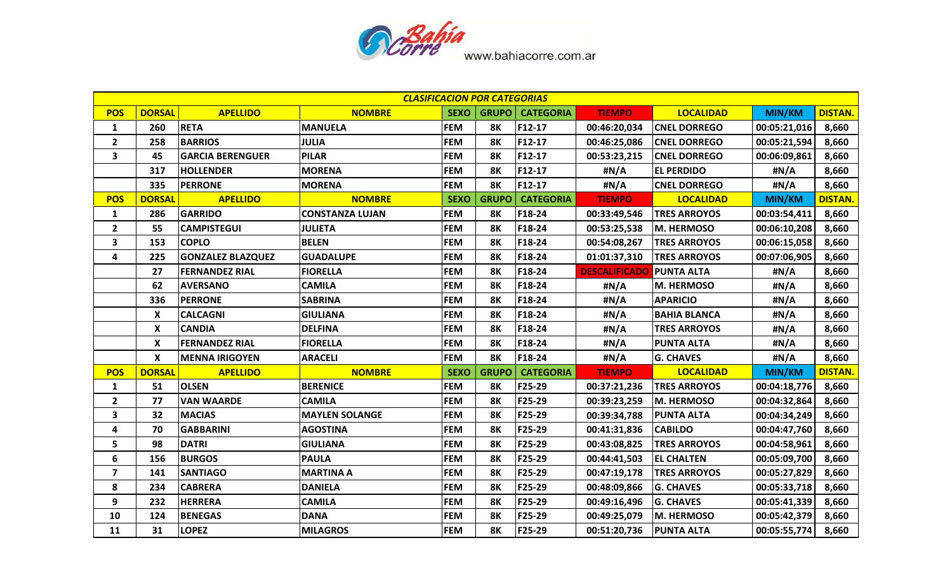

|                         | <b>CLASIFICACION POR CATEGORIAS</b><br><b>DISTAN.</b><br><b>DORSAL</b><br><b>CATEGORIA</b><br><b>LOCALIDAD</b><br><b>APELLIDO</b><br><b>NOMBRE</b><br><b>SEXO</b><br><b>GRUPO</b><br><b>TIEMPO</b><br><b>MIN/KM</b> |                          |                        |             |              |                  |                      |                     |               |                |
|-------------------------|---------------------------------------------------------------------------------------------------------------------------------------------------------------------------------------------------------------------|--------------------------|------------------------|-------------|--------------|------------------|----------------------|---------------------|---------------|----------------|
| <b>POS</b>              |                                                                                                                                                                                                                     |                          |                        |             |              |                  |                      |                     |               |                |
| $\mathbf{1}$            | 260                                                                                                                                                                                                                 | <b>RETA</b>              | <b>MANUELA</b>         | <b>FEM</b>  | <b>8K</b>    | F12-17           | 00:46:20,034         | <b>CNEL DORREGO</b> | 00:05:21,016  | 8,660          |
| $\mathbf{2}$            | 258                                                                                                                                                                                                                 | <b>BARRIOS</b>           | <b>JULIA</b>           | <b>FEM</b>  | <b>8K</b>    | F12-17           | 00:46:25,086         | <b>CNEL DORREGO</b> | 00:05:21,594  | 8,660          |
| $\overline{\mathbf{3}}$ | 45                                                                                                                                                                                                                  | <b>GARCIA BERENGUER</b>  | <b>PILAR</b>           | <b>FEM</b>  | <b>8K</b>    | F12-17           | 00:53:23,215         | <b>CNEL DORREGO</b> | 00:06:09,861  | 8,660          |
|                         | 317                                                                                                                                                                                                                 | <b>HOLLENDER</b>         | <b>MORENA</b>          | <b>FEM</b>  | <b>8K</b>    | F12-17           | #N/A                 | <b>EL PERDIDO</b>   | #N/A          | 8,660          |
|                         | 335                                                                                                                                                                                                                 | <b>PERRONE</b>           | <b>MORENA</b>          | <b>FEM</b>  | <b>8K</b>    | F12-17           | #N/A                 | <b>CNEL DORREGO</b> | #N/A          | 8,660          |
| <b>POS</b>              | <b>DORSAL</b>                                                                                                                                                                                                       | <b>APELLIDO</b>          | <b>NOMBRE</b>          | <b>SEXO</b> | <b>GRUPO</b> | <b>CATEGORIA</b> | <b>TIEMPO</b>        | <b>LOCALIDAD</b>    | <b>MIN/KM</b> | <b>DISTAN.</b> |
| $\mathbf{1}$            | 286                                                                                                                                                                                                                 | <b>GARRIDO</b>           | <b>CONSTANZA LUJAN</b> | <b>FEM</b>  | <b>8K</b>    | F18-24           | 00:33:49,546         | <b>TRES ARROYOS</b> | 00:03:54,411  | 8,660          |
| $\mathbf{2}$            | 55                                                                                                                                                                                                                  | <b>CAMPISTEGUI</b>       | <b>JULIETA</b>         | <b>FEM</b>  | <b>8K</b>    | F18-24           | 00:53:25,538         | M. HERMOSO          | 00:06:10,208  | 8,660          |
| 3                       | 153                                                                                                                                                                                                                 | <b>COPLO</b>             | <b>BELEN</b>           | <b>FEM</b>  | <b>8K</b>    | F18-24           | 00:54:08,267         | <b>TRES ARROYOS</b> | 00:06:15,058  | 8,660          |
| 4                       | 225                                                                                                                                                                                                                 | <b>GONZALEZ BLAZQUEZ</b> | <b>GUADALUPE</b>       | <b>FEM</b>  | <b>8K</b>    | F18-24           | 01:01:37,310         | <b>TRES ARROYOS</b> | 00:07:06,905  | 8,660          |
|                         | 27                                                                                                                                                                                                                  | <b>FERNANDEZ RIAL</b>    | <b>FIORELLA</b>        | <b>FEM</b>  | <b>8K</b>    | F18-24           | <b>DESCALIFICADO</b> | <b>PUNTA ALTA</b>   | #N/A          | 8,660          |
|                         | 62                                                                                                                                                                                                                  | <b>AVERSANO</b>          | <b>CAMILA</b>          | <b>FEM</b>  | <b>8K</b>    | F18-24           | #N/A                 | <b>M. HERMOSO</b>   | #N/A          | 8,660          |
|                         | 336                                                                                                                                                                                                                 | <b>PERRONE</b>           | <b>SABRINA</b>         | <b>FEM</b>  | <b>8K</b>    | F18-24           | #N/A                 | <b>APARICIO</b>     | #N/A          | 8,660          |
|                         | X                                                                                                                                                                                                                   | <b>CALCAGNI</b>          | <b>GIULIANA</b>        | <b>FEM</b>  | <b>8K</b>    | F18-24           | #N/A                 | <b>BAHIA BLANCA</b> | #N/A          | 8,660          |
|                         | X                                                                                                                                                                                                                   | <b>CANDIA</b>            | <b>DELFINA</b>         | <b>FEM</b>  | <b>8K</b>    | F18-24           | #N/A                 | <b>TRES ARROYOS</b> | #N/A          | 8,660          |
|                         | X                                                                                                                                                                                                                   | <b>FERNANDEZ RIAL</b>    | <b>FIORELLA</b>        | <b>FEM</b>  | <b>8K</b>    | F18-24           | #N/A                 | <b>PUNTA ALTA</b>   | #N/A          | 8,660          |
|                         | X                                                                                                                                                                                                                   | <b>MENNA IRIGOYEN</b>    | <b>ARACELI</b>         | <b>FEM</b>  | <b>8K</b>    | F18-24           | #N/A                 | <b>G. CHAVES</b>    | #N/A          | 8,660          |
| <b>POS</b>              | <b>DORSAL</b>                                                                                                                                                                                                       | <b>APELLIDO</b>          | <b>NOMBRE</b>          | <b>SEXO</b> | <b>GRUPO</b> | <b>CATEGORIA</b> | <b>TIEMPO</b>        | <b>LOCALIDAD</b>    | <b>MIN/KM</b> | <b>DISTAN.</b> |
| $\mathbf{1}$            | 51                                                                                                                                                                                                                  | <b>OLSEN</b>             | <b>BERENICE</b>        | <b>FEM</b>  | <b>8K</b>    | F25-29           | 00:37:21,236         | <b>TRES ARROYOS</b> | 00:04:18,776  | 8,660          |
| $\mathbf{2}$            | 77                                                                                                                                                                                                                  | <b>VAN WAARDE</b>        | <b>CAMILA</b>          | <b>FEM</b>  | <b>8K</b>    | F25-29           | 00:39:23,259         | M. HERMOSO          | 00:04:32,864  | 8,660          |
| 3                       | 32                                                                                                                                                                                                                  | <b>MACIAS</b>            | <b>MAYLEN SOLANGE</b>  | <b>FEM</b>  | <b>8K</b>    | F25-29           | 00:39:34,788         | <b>PUNTA ALTA</b>   | 00:04:34,249  | 8,660          |
| 4                       | 70                                                                                                                                                                                                                  | <b>GABBARINI</b>         | <b>AGOSTINA</b>        | <b>FEM</b>  | <b>8K</b>    | F25-29           | 00:41:31,836         | <b>CABILDO</b>      | 00:04:47,760  | 8,660          |
| 5                       | 98                                                                                                                                                                                                                  | <b>DATRI</b>             | <b>GIULIANA</b>        | <b>FEM</b>  | <b>8K</b>    | F25-29           | 00:43:08,825         | <b>TRES ARROYOS</b> | 00:04:58,961  | 8,660          |
| 6                       | 156                                                                                                                                                                                                                 | <b>BURGOS</b>            | <b>PAULA</b>           | <b>FEM</b>  | <b>8K</b>    | F25-29           | 00:44:41,503         | <b>EL CHALTEN</b>   | 00:05:09,700  | 8,660          |
| $\overline{\mathbf{z}}$ | 141                                                                                                                                                                                                                 | <b>SANTIAGO</b>          | <b>MARTINA A</b>       | <b>FEM</b>  | <b>8K</b>    | F25-29           | 00:47:19,178         | <b>TRES ARROYOS</b> | 00:05:27,829  | 8,660          |
| 8                       | 234                                                                                                                                                                                                                 | <b>CABRERA</b>           | <b>DANIELA</b>         | <b>FEM</b>  | <b>8K</b>    | F25-29           | 00:48:09,866         | <b>G. CHAVES</b>    | 00:05:33,718  | 8,660          |
| 9                       | 232                                                                                                                                                                                                                 | <b>HERRERA</b>           | <b>CAMILA</b>          | <b>FEM</b>  | <b>8K</b>    | F25-29           | 00:49:16,496         | <b>G. CHAVES</b>    | 00:05:41,339  | 8,660          |
| 10                      | 124                                                                                                                                                                                                                 | <b>BENEGAS</b>           | <b>DANA</b>            | <b>FEM</b>  | <b>8K</b>    | F25-29           | 00:49:25,079         | M. HERMOSO          | 00:05:42,379  | 8,660          |
| 11                      | 31                                                                                                                                                                                                                  | <b>LOPEZ</b>             | <b>MILAGROS</b>        | <b>FEM</b>  | <b>8K</b>    | F25-29           | 00:51:20,736         | <b>PUNTA ALTA</b>   | 00:05:55,774  | 8,660          |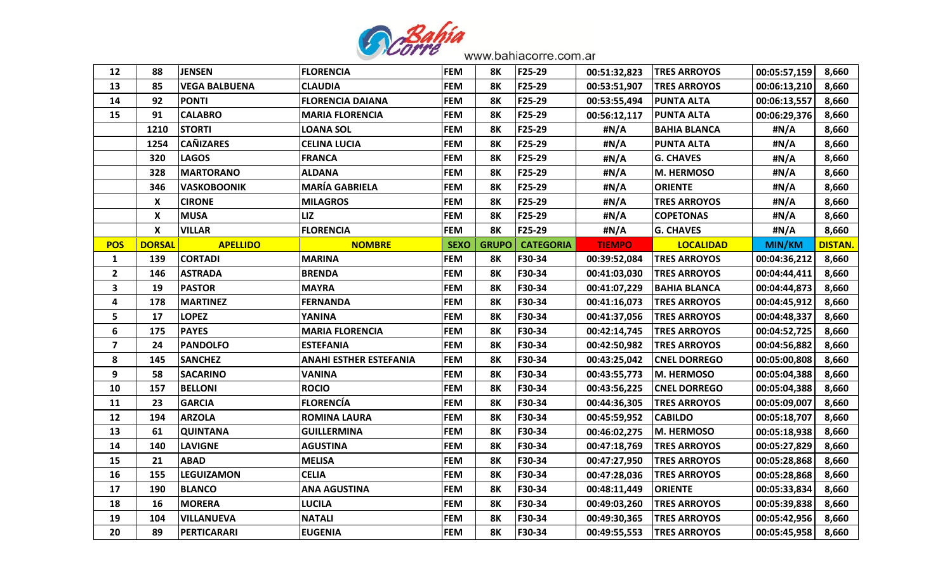

| 12             | 88            | <b>JENSEN</b>        | <b>FLORENCIA</b>              | <b>FEM</b>  | <b>8K</b>    | F25-29           | 00:51:32,823  | <b>TRES ARROYOS</b> | 00:05:57,159 | 8,660          |
|----------------|---------------|----------------------|-------------------------------|-------------|--------------|------------------|---------------|---------------------|--------------|----------------|
| 13             | 85            | <b>VEGA BALBUENA</b> | <b>CLAUDIA</b>                | <b>FEM</b>  | <b>8K</b>    | F25-29           | 00:53:51,907  | <b>TRES ARROYOS</b> | 00:06:13,210 | 8,660          |
| 14             | 92            | <b>PONTI</b>         | <b>FLORENCIA DAIANA</b>       | <b>FEM</b>  | <b>8K</b>    | F25-29           | 00:53:55,494  | <b>PUNTA ALTA</b>   | 00:06:13,557 | 8,660          |
| 15             | 91            | <b>CALABRO</b>       | <b>MARIA FLORENCIA</b>        | <b>FEM</b>  | <b>8K</b>    | F25-29           | 00:56:12,117  | <b>PUNTA ALTA</b>   | 00:06:29,376 | 8,660          |
|                | 1210          | <b>STORTI</b>        | LOANA SOL                     | <b>FEM</b>  | <b>8K</b>    | F25-29           | #N/A          | <b>BAHIA BLANCA</b> | #N/A         | 8,660          |
|                | 1254          | <b>CAÑIZARES</b>     | <b>CELINA LUCIA</b>           | <b>FEM</b>  | <b>8K</b>    | F25-29           | #N/A          | <b>PUNTA ALTA</b>   | #N/A         | 8,660          |
|                | 320           | <b>LAGOS</b>         | <b>FRANCA</b>                 | <b>FEM</b>  | <b>8K</b>    | F25-29           | #N/A          | <b>G. CHAVES</b>    | #N/A         | 8,660          |
|                | 328           | <b>MARTORANO</b>     | <b>ALDANA</b>                 | <b>FEM</b>  | <b>8K</b>    | F25-29           | #N/A          | <b>M. HERMOSO</b>   | #N/A         | 8,660          |
|                | 346           | <b>VASKOBOONIK</b>   | <b>MARÍA GABRIELA</b>         | <b>FEM</b>  | <b>8K</b>    | F25-29           | #N/A          | <b>ORIENTE</b>      | #N/A         | 8,660          |
|                | X             | <b>CIRONE</b>        | <b>MILAGROS</b>               | <b>FEM</b>  | <b>8K</b>    | F25-29           | #N/A          | <b>TRES ARROYOS</b> | #N/A         | 8,660          |
|                | X             | <b>MUSA</b>          | LIZ                           | <b>FEM</b>  | <b>8K</b>    | F25-29           | #N/A          | <b>COPETONAS</b>    | #N/A         | 8,660          |
|                | X             | VILLAR               | <b>FLORENCIA</b>              | <b>FEM</b>  | <b>8K</b>    | F25-29           | #N/A          | <b>G. CHAVES</b>    | #N/A         | 8,660          |
| <b>POS</b>     | <b>DORSAL</b> | <b>APELLIDO</b>      | <b>NOMBRE</b>                 | <b>SEXO</b> | <b>GRUPO</b> | <b>CATEGORIA</b> | <b>TIEMPO</b> | <b>LOCALIDAD</b>    | MIN/KM       | <b>DISTAN.</b> |
| $\mathbf{1}$   | 139           | <b>CORTADI</b>       | <b>MARINA</b>                 | <b>FEM</b>  | <b>8K</b>    | F30-34           | 00:39:52,084  | <b>TRES ARROYOS</b> | 00:04:36,212 | 8,660          |
| $\overline{2}$ | 146           | <b>ASTRADA</b>       | <b>BRENDA</b>                 | <b>FEM</b>  | <b>8K</b>    | F30-34           | 00:41:03,030  | <b>TRES ARROYOS</b> | 00:04:44,411 | 8,660          |
| 3              | 19            | <b>PASTOR</b>        | <b>MAYRA</b>                  | <b>FEM</b>  | 8K           | F30-34           | 00:41:07,229  | <b>BAHIA BLANCA</b> | 00:04:44,873 | 8,660          |
| 4              | 178           | <b>MARTINEZ</b>      | <b>FERNANDA</b>               | <b>FEM</b>  | <b>8K</b>    | F30-34           | 00:41:16,073  | <b>TRES ARROYOS</b> | 00:04:45,912 | 8,660          |
| 5              | 17            | <b>LOPEZ</b>         | YANINA                        | <b>FEM</b>  | <b>8K</b>    | F30-34           | 00:41:37,056  | <b>TRES ARROYOS</b> | 00:04:48,337 | 8,660          |
| 6              | 175           | <b>PAYES</b>         | <b>MARIA FLORENCIA</b>        | <b>FEM</b>  | <b>8K</b>    | F30-34           | 00:42:14,745  | <b>TRES ARROYOS</b> | 00:04:52,725 | 8,660          |
| 7              | 24            | <b>PANDOLFO</b>      | <b>ESTEFANIA</b>              | <b>FEM</b>  | <b>8K</b>    | F30-34           | 00:42:50,982  | <b>TRES ARROYOS</b> | 00:04:56,882 | 8,660          |
| 8              | 145           | <b>SANCHEZ</b>       | <b>ANAHI ESTHER ESTEFANIA</b> | <b>FEM</b>  | <b>8K</b>    | F30-34           | 00:43:25,042  | <b>CNEL DORREGO</b> | 00:05:00,808 | 8,660          |
| 9              | 58            | <b>SACARINO</b>      | <b>VANINA</b>                 | <b>FEM</b>  | <b>8K</b>    | F30-34           | 00:43:55,773  | <b>IM. HERMOSO</b>  | 00:05:04,388 | 8,660          |
| 10             | 157           | <b>BELLONI</b>       | <b>ROCIO</b>                  | <b>FEM</b>  | <b>8K</b>    | F30-34           | 00:43:56,225  | <b>CNEL DORREGO</b> | 00:05:04,388 | 8,660          |
| 11             | 23            | <b>GARCIA</b>        | <b>FLORENCÍA</b>              | <b>FEM</b>  | <b>8K</b>    | F30-34           | 00:44:36,305  | <b>TRES ARROYOS</b> | 00:05:09,007 | 8,660          |
| 12             | 194           | <b>ARZOLA</b>        | <b>ROMINA LAURA</b>           | <b>FEM</b>  | <b>8K</b>    | F30-34           | 00:45:59,952  | <b>CABILDO</b>      | 00:05:18,707 | 8,660          |
| 13             | 61            | <b>QUINTANA</b>      | <b>GUILLERMINA</b>            | <b>FEM</b>  | <b>8K</b>    | F30-34           | 00:46:02,275  | M. HERMOSO          | 00:05:18,938 | 8,660          |
| 14             | 140           | <b>LAVIGNE</b>       | AGUSTINA                      | <b>FEM</b>  | <b>8K</b>    | F30-34           | 00:47:18,769  | <b>TRES ARROYOS</b> | 00:05:27,829 | 8,660          |
| 15             | 21            | <b>ABAD</b>          | <b>MELISA</b>                 | <b>FEM</b>  | <b>8K</b>    | F30-34           | 00:47:27,950  | <b>TRES ARROYOS</b> | 00:05:28,868 | 8,660          |
| 16             | 155           | <b>LEGUIZAMON</b>    | <b>CELIA</b>                  | <b>FEM</b>  | <b>8K</b>    | F30-34           | 00:47:28,036  | <b>TRES ARROYOS</b> | 00:05:28,868 | 8,660          |
| 17             | 190           | <b>BLANCO</b>        | <b>ANA AGUSTINA</b>           | <b>FEM</b>  | <b>8K</b>    | F30-34           | 00:48:11,449  | <b>ORIENTE</b>      | 00:05:33,834 | 8,660          |
| 18             | 16            | <b>MORERA</b>        | <b>LUCILA</b>                 | <b>FEM</b>  | <b>8K</b>    | F30-34           | 00:49:03,260  | <b>TRES ARROYOS</b> | 00:05:39,838 | 8,660          |
| 19             | 104           | <b>VILLANUEVA</b>    | <b>NATALI</b>                 | <b>FEM</b>  | <b>8K</b>    | F30-34           | 00:49:30,365  | <b>TRES ARROYOS</b> | 00:05:42,956 | 8,660          |
| 20             | 89            | PERTICARARI          | <b>EUGENIA</b>                | <b>FEM</b>  | <b>8K</b>    | F30-34           | 00:49:55,553  | <b>TRES ARROYOS</b> | 00:05:45,958 | 8,660          |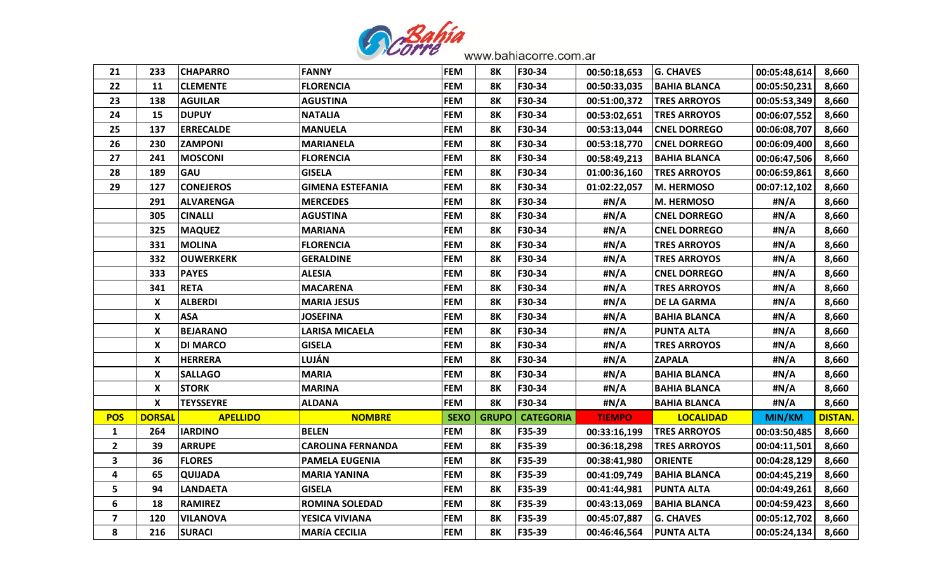

| 21                      | 233           | <b>CHAPARRO</b>  | <b>FANNY</b>             | <b>FEM</b>  | 8K           | F30-34           | 00:50:18,653  | <b>G. CHAVES</b>    | 00:05:48,614  | 8,660          |
|-------------------------|---------------|------------------|--------------------------|-------------|--------------|------------------|---------------|---------------------|---------------|----------------|
| 22                      | 11            | <b>CLEMENTE</b>  | <b>FLORENCIA</b>         | <b>FEM</b>  | 8K           | F30-34           | 00:50:33,035  | <b>BAHIA BLANCA</b> | 00:05:50,231  | 8,660          |
| 23                      | 138           | <b>AGUILAR</b>   | <b>AGUSTINA</b>          | <b>FEM</b>  | 8Κ           | F30-34           | 00:51:00,372  | <b>TRES ARROYOS</b> | 00:05:53,349  | 8,660          |
| 24                      | 15            | <b>DUPUY</b>     | <b>NATALIA</b>           | <b>FEM</b>  | <b>8K</b>    | F30-34           | 00:53:02,651  | <b>TRES ARROYOS</b> | 00:06:07,552  | 8,660          |
| 25                      | 137           | <b>ERRECALDE</b> | <b>MANUELA</b>           | <b>FEM</b>  | 8Κ           | F30-34           | 00:53:13,044  | <b>CNEL DORREGO</b> | 00:06:08,707  | 8,660          |
| 26                      | 230           | <b>ZAMPONI</b>   | <b>MARIANELA</b>         | <b>FEM</b>  | 8K           | F30-34           | 00:53:18,770  | <b>CNEL DORREGO</b> | 00:06:09,400  | 8,660          |
| 27                      | 241           | <b>MOSCONI</b>   | <b>FLORENCIA</b>         | <b>FEM</b>  | 8K           | F30-34           | 00:58:49,213  | BAHIA BLANCA        | 00:06:47,506  | 8,660          |
| 28                      | 189           | <b>GAU</b>       | <b>GISELA</b>            | <b>FEM</b>  | 8Κ           | F30-34           | 01:00:36,160  | <b>TRES ARROYOS</b> | 00:06:59,861  | 8,660          |
| 29                      | 127           | <b>CONEJEROS</b> | <b>GIMENA ESTEFANIA</b>  | <b>FEM</b>  | 8Κ           | F30-34           | 01:02:22,057  | <b>M. HERMOSO</b>   | 00:07:12,102  | 8,660          |
|                         | 291           | <b>ALVARENGA</b> | <b>MERCEDES</b>          | <b>FEM</b>  | 8Κ           | F30-34           | #N/A          | <b>M. HERMOSO</b>   | #N/A          | 8,660          |
|                         | 305           | <b>CINALLI</b>   | <b>AGUSTINA</b>          | <b>FEM</b>  | 8K           | F30-34           | #N/A          | <b>CNEL DORREGO</b> | #N/A          | 8,660          |
|                         | 325           | <b>MAQUEZ</b>    | <b>MARIANA</b>           | <b>FEM</b>  | 8K           | F30-34           | #N/A          | <b>CNEL DORREGO</b> | #N/A          | 8,660          |
|                         | 331           | <b>MOLINA</b>    | <b>FLORENCIA</b>         | <b>FEM</b>  | 8Κ           | F30-34           | #N/A          | <b>TRES ARROYOS</b> | #N/A          | 8,660          |
|                         | 332           | <b>OUWERKERK</b> | <b>GERALDINE</b>         | <b>FEM</b>  | <b>8K</b>    | F30-34           | #N/A          | <b>TRES ARROYOS</b> | #N/A          | 8,660          |
|                         | 333           | <b>PAYES</b>     | <b>ALESIA</b>            | <b>FEM</b>  | 8Κ           | F30-34           | #N/A          | <b>CNEL DORREGO</b> | #N/A          | 8,660          |
|                         | 341           | <b>RETA</b>      | <b>MACARENA</b>          | <b>FEM</b>  | <b>8K</b>    | F30-34           | #N/A          | <b>TRES ARROYOS</b> | #N/A          | 8,660          |
|                         | X             | <b>ALBERDI</b>   | <b>MARIA JESUS</b>       | <b>FEM</b>  | 8Κ           | F30-34           | #N/A          | <b>DE LA GARMA</b>  | #N/A          | 8,660          |
|                         | X             | <b>ASA</b>       | <b>JOSEFINA</b>          | <b>FEM</b>  | 8K           | F30-34           | #N/A          | <b>BAHIA BLANCA</b> | #N/A          | 8,660          |
|                         | X             | <b>BEJARANO</b>  | <b>LARISA MICAELA</b>    | <b>FEM</b>  | <b>8K</b>    | F30-34           | #N/A          | <b>PUNTA ALTA</b>   | #N/A          | 8,660          |
|                         | X             | <b>DI MARCO</b>  | <b>GISELA</b>            | <b>FEM</b>  | 8Κ           | F30-34           | #N/A          | <b>TRES ARROYOS</b> | #N/A          | 8,660          |
|                         | X             | <b>HERRERA</b>   | LUJÁN                    | <b>FEM</b>  | 8K           | F30-34           | #N/A          | <b>ZAPALA</b>       | #N/A          | 8,660          |
|                         | X             | <b>SALLAGO</b>   | <b>MARIA</b>             | <b>FEM</b>  | <b>8K</b>    | F30-34           | #N/A          | <b>BAHIA BLANCA</b> | #N/A          | 8,660          |
|                         | X             | <b>STORK</b>     | <b>MARINA</b>            | <b>FEM</b>  | 8K           | F30-34           | #N/A          | <b>BAHIA BLANCA</b> | #N/A          | 8,660          |
|                         | X             | <b>TEYSSEYRE</b> | ALDANA                   | <b>FEM</b>  | 8Κ           | F30-34           | #N/A          | <b>BAHIA BLANCA</b> | #N/A          | 8,660          |
| <b>POS</b>              | <b>DORSAL</b> | <b>APELLIDO</b>  | <b>NOMBRE</b>            | <b>SEXO</b> | <b>GRUPO</b> | <b>CATEGORIA</b> | <b>TIEMPO</b> | <b>LOCALIDAD</b>    | <b>MIN/KM</b> | <b>DISTAN.</b> |
| $\mathbf{1}$            | 264           | <b>IARDINO</b>   | <b>BELEN</b>             | <b>FEM</b>  | 8Κ           | F35-39           | 00:33:16,199  | <b>TRES ARROYOS</b> | 00:03:50,485  | 8,660          |
| $\overline{2}$          | 39            | <b>ARRUPE</b>    | <b>CAROLINA FERNANDA</b> | <b>FEM</b>  | 8Κ           | F35-39           | 00:36:18,298  | <b>TRES ARROYOS</b> | 00:04:11,501  | 8,660          |
| 3                       | 36            | <b>FLORES</b>    | PAMELA EUGENIA           | <b>FEM</b>  | 8Κ           | F35-39           | 00:38:41,980  | <b>ORIENTE</b>      | 00:04:28,129  | 8,660          |
| 4                       | 65            | <b>QUIJADA</b>   | <b>MARIA YANINA</b>      | <b>FEM</b>  | 8К           | F35-39           | 00:41:09,749  | <b>BAHIA BLANCA</b> | 00:04:45,219  | 8,660          |
| 5                       | 94            | <b>LANDAETA</b>  | <b>GISELA</b>            | <b>FEM</b>  | 8K           | F35-39           | 00:41:44,981  | <b>PUNTA ALTA</b>   | 00:04:49,261  | 8,660          |
| 6                       | 18            | <b>RAMIREZ</b>   | <b>ROMINA SOLEDAD</b>    | <b>FEM</b>  | 8К           | F35-39           | 00:43:13,069  | <b>BAHIA BLANCA</b> | 00:04:59,423  | 8,660          |
| $\overline{\mathbf{z}}$ | 120           | <b>VILANOVA</b>  | YESICA VIVIANA           | <b>FEM</b>  | 8Κ           | F35-39           | 00:45:07,887  | <b>G. CHAVES</b>    | 00:05:12,702  | 8,660          |
| 8                       | 216           | <b>SURACI</b>    | <b>MARÍA CECILIA</b>     | <b>FEM</b>  | 8K           | F35-39           | 00:46:46,564  | <b>PUNTA ALTA</b>   | 00:05:24,134  | 8,660          |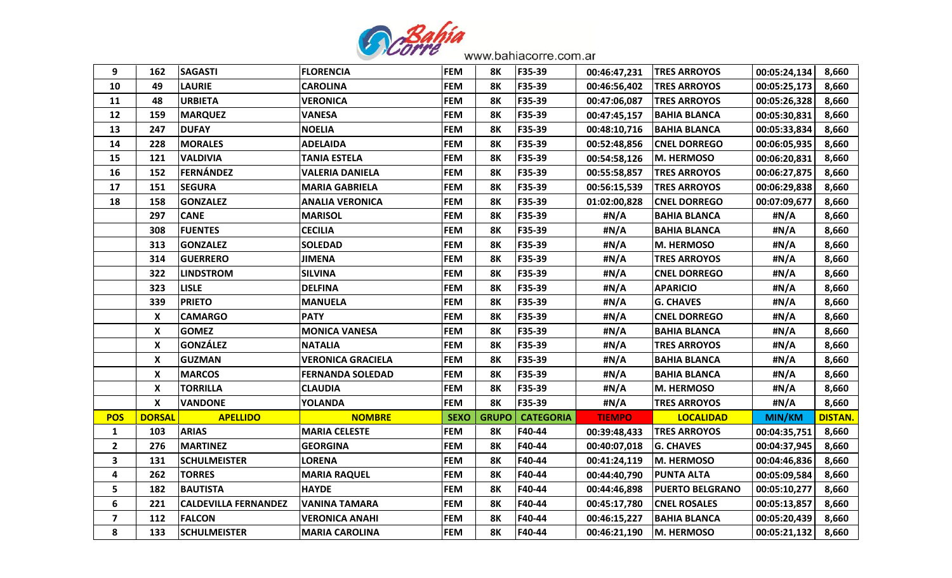

| 9                       | 162           | <b>SAGASTI</b>              | <b>FLORENCIA</b>         | <b>FEM</b>  | 8Κ           | F35-39           | 00:46:47,231  | <b>TRES ARROYOS</b>    | 00:05:24,134  | 8,660          |
|-------------------------|---------------|-----------------------------|--------------------------|-------------|--------------|------------------|---------------|------------------------|---------------|----------------|
| 10                      | 49            | <b>LAURIE</b>               | <b>CAROLINA</b>          | <b>FEM</b>  | <b>8K</b>    | F35-39           | 00:46:56,402  | <b>TRES ARROYOS</b>    | 00:05:25,173  | 8,660          |
| 11                      | 48            | <b>URBIETA</b>              | <b>VERONICA</b>          | <b>FEM</b>  | 8K           | F35-39           | 00:47:06,087  | <b>TRES ARROYOS</b>    | 00:05:26,328  | 8,660          |
| 12                      | 159           | <b>MARQUEZ</b>              | <b>VANESA</b>            | <b>FEM</b>  | <b>8K</b>    | F35-39           | 00:47:45,157  | <b>BAHIA BLANCA</b>    | 00:05:30,831  | 8,660          |
| 13                      | 247           | <b>DUFAY</b>                | <b>NOELIA</b>            | <b>FEM</b>  | <b>8K</b>    | F35-39           | 00:48:10,716  | <b>BAHIA BLANCA</b>    | 00:05:33,834  | 8,660          |
| 14                      | 228           | <b>MORALES</b>              | <b>ADELAIDA</b>          | <b>FEM</b>  | <b>8K</b>    | F35-39           | 00:52:48,856  | <b>CNEL DORREGO</b>    | 00:06:05,935  | 8,660          |
| 15                      | 121           | <b>VALDIVIA</b>             | <b>TANIA ESTELA</b>      | <b>FEM</b>  | <b>8K</b>    | F35-39           | 00:54:58,126  | <b>IM. HERMOSO</b>     | 00:06:20,831  | 8,660          |
| 16                      | 152           | FERNÁNDEZ                   | <b>VALERIA DANIELA</b>   | <b>FEM</b>  | <b>8K</b>    | F35-39           | 00:55:58,857  | <b>TRES ARROYOS</b>    | 00:06:27,875  | 8,660          |
| 17                      | 151           | <b>SEGURA</b>               | <b>MARIA GABRIELA</b>    | <b>FEM</b>  | <b>8K</b>    | F35-39           | 00:56:15,539  | <b>TRES ARROYOS</b>    | 00:06:29,838  | 8,660          |
| 18                      | 158           | <b>GONZALEZ</b>             | <b>ANALIA VERONICA</b>   | <b>FEM</b>  | <b>8K</b>    | F35-39           | 01:02:00,828  | <b>CNEL DORREGO</b>    | 00:07:09,677  | 8,660          |
|                         | 297           | <b>CANE</b>                 | <b>MARISOL</b>           | <b>FEM</b>  | <b>8K</b>    | F35-39           | #N/A          | <b>BAHIA BLANCA</b>    | #N/A          | 8,660          |
|                         | 308           | <b>FUENTES</b>              | <b>CECILIA</b>           | <b>FEM</b>  | <b>8K</b>    | F35-39           | #N/A          | <b>BAHIA BLANCA</b>    | #N/A          | 8,660          |
|                         | 313           | <b>GONZALEZ</b>             | <b>SOLEDAD</b>           | <b>FEM</b>  | <b>8K</b>    | F35-39           | #N/A          | <b>M. HERMOSO</b>      | #N/A          | 8,660          |
|                         | 314           | <b>GUERRERO</b>             | <b>JIMENA</b>            | <b>FEM</b>  | <b>8K</b>    | F35-39           | #N/A          | <b>TRES ARROYOS</b>    | #N/A          | 8,660          |
|                         | 322           | <b>LINDSTROM</b>            | <b>SILVINA</b>           | <b>FEM</b>  | <b>8K</b>    | F35-39           | #N/A          | <b>CNEL DORREGO</b>    | #N/A          | 8,660          |
|                         | 323           | <b>LISLE</b>                | <b>DELFINA</b>           | <b>FEM</b>  | <b>8K</b>    | F35-39           | #N/A          | <b>APARICIO</b>        | #N/A          | 8,660          |
|                         | 339           | <b>PRIETO</b>               | <b>MANUELA</b>           | <b>FEM</b>  | <b>8K</b>    | F35-39           | #N/A          | <b>G. CHAVES</b>       | #N/A          | 8,660          |
|                         | X             | <b>CAMARGO</b>              | <b>PATY</b>              | <b>FEM</b>  | <b>8K</b>    | F35-39           | #N/A          | <b>CNEL DORREGO</b>    | #N/A          | 8,660          |
|                         | X             | <b>GOMEZ</b>                | <b>MONICA VANESA</b>     | <b>FEM</b>  | <b>8K</b>    | F35-39           | #N/A          | <b>BAHIA BLANCA</b>    | #N/A          | 8,660          |
|                         | X             | <b>GONZÁLEZ</b>             | <b>NATALIA</b>           | <b>FEM</b>  | 8Κ           | F35-39           | #N/A          | <b>TRES ARROYOS</b>    | #N/A          | 8,660          |
|                         | X             | <b>GUZMAN</b>               | <b>VERONICA GRACIELA</b> | <b>FEM</b>  | <b>8K</b>    | F35-39           | #N/A          | <b>BAHIA BLANCA</b>    | #N/A          | 8,660          |
|                         | X             | <b>MARCOS</b>               | <b>FERNANDA SOLEDAD</b>  | <b>FEM</b>  | <b>8K</b>    | F35-39           | #N/A          | <b>BAHIA BLANCA</b>    | #N/A          | 8,660          |
|                         | X             | <b>TORRILLA</b>             | <b>CLAUDIA</b>           | <b>FEM</b>  | <b>8K</b>    | F35-39           | #N/A          | <b>M. HERMOSO</b>      | #N/A          | 8,660          |
|                         | X             | VANDONE                     | YOLANDA                  | <b>FEM</b>  | <b>8K</b>    | F35-39           | #N/A          | <b>TRES ARROYOS</b>    | #N/A          | 8,660          |
| <b>POS</b>              | <b>DORSAL</b> | <b>APELLIDO</b>             | <b>NOMBRE</b>            | <b>SEXO</b> | <b>GRUPO</b> | <b>CATEGORIA</b> | <b>TIEMPO</b> | <b>LOCALIDAD</b>       | <b>MIN/KM</b> | <b>DISTAN.</b> |
| 1                       | 103           | <b>ARIAS</b>                | <b>MARIA CELESTE</b>     | <b>FEM</b>  | <b>8K</b>    | F40-44           | 00:39:48,433  | <b>TRES ARROYOS</b>    | 00:04:35,751  | 8,660          |
| $\overline{2}$          | 276           | <b>MARTINEZ</b>             | <b>GEORGINA</b>          | <b>FEM</b>  | 8Κ           | F40-44           | 00:40:07,018  | <b>G. CHAVES</b>       | 00:04:37,945  | 8,660          |
| 3                       | 131           | <b>SCHULMEISTER</b>         | <b>LORENA</b>            | <b>FEM</b>  | <b>8K</b>    | F40-44           | 00:41:24,119  | <b>M. HERMOSO</b>      | 00:04:46,836  | 8,660          |
| 4                       | 262           | <b>TORRES</b>               | <b>MARIA RAQUEL</b>      | <b>FEM</b>  | <b>8K</b>    | F40-44           | 00:44:40,790  | <b>PUNTA ALTA</b>      | 00:05:09,584  | 8,660          |
| 5                       | 182           | <b>BAUTISTA</b>             | <b>HAYDE</b>             | <b>FEM</b>  | <b>8K</b>    | F40-44           | 00:44:46,898  | <b>PUERTO BELGRANO</b> | 00:05:10,277  | 8,660          |
| 6                       | 221           | <b>CALDEVILLA FERNANDEZ</b> | <b>VANINA TAMARA</b>     | <b>FEM</b>  | <b>8K</b>    | F40-44           | 00:45:17,780  | <b>CNEL ROSALES</b>    | 00:05:13,857  | 8,660          |
| $\overline{\mathbf{z}}$ | 112           | <b>FALCON</b>               | <b>VERONICA ANAHI</b>    | <b>FEM</b>  | <b>8K</b>    | F40-44           | 00:46:15,227  | <b>BAHIA BLANCA</b>    | 00:05:20,439  | 8,660          |
| 8                       | 133           | <b>SCHULMEISTER</b>         | <b>MARIA CAROLINA</b>    | <b>FEM</b>  | <b>8K</b>    | F40-44           | 00:46:21,190  | M. HERMOSO             | 00:05:21,132  | 8,660          |
|                         |               |                             |                          |             |              |                  |               |                        |               |                |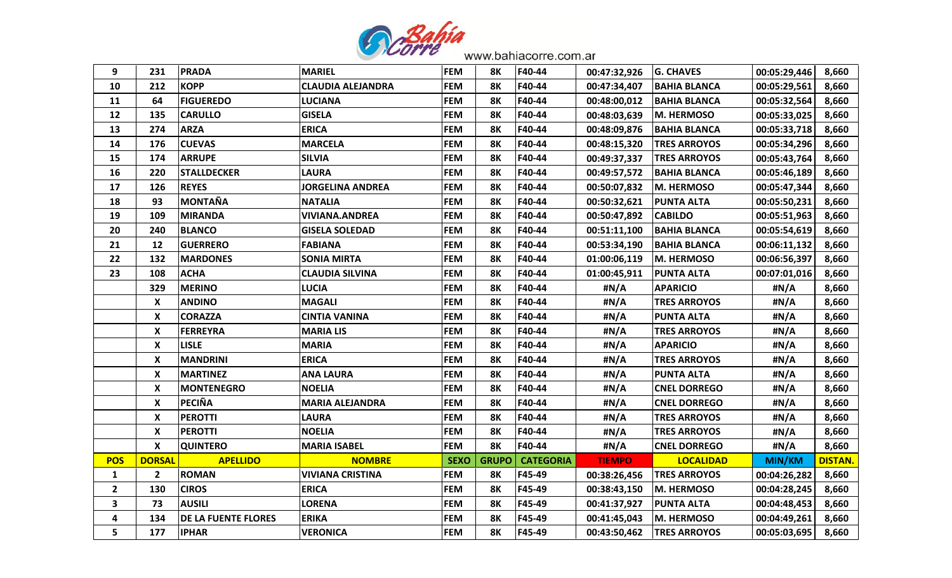

| 9              | 231           | <b>PRADA</b>               | <b>MARIEL</b>            | <b>FEM</b>  | <b>8K</b>    | F40-44           | 00:47:32,926  | <b>G. CHAVES</b>    | 00:05:29,446  | 8,660          |
|----------------|---------------|----------------------------|--------------------------|-------------|--------------|------------------|---------------|---------------------|---------------|----------------|
| 10             | 212           | <b>KOPP</b>                | <b>CLAUDIA ALEJANDRA</b> | <b>FEM</b>  | <b>8K</b>    | F40-44           | 00:47:34,407  | <b>BAHIA BLANCA</b> | 00:05:29,561  | 8,660          |
| 11             | 64            | <b>FIGUEREDO</b>           | <b>LUCIANA</b>           | <b>FEM</b>  | <b>8K</b>    | F40-44           | 00:48:00,012  | <b>BAHIA BLANCA</b> | 00:05:32,564  | 8,660          |
| 12             | 135           | <b>CARULLO</b>             | <b>GISELA</b>            | <b>FEM</b>  | <b>8K</b>    | F40-44           | 00:48:03,639  | M. HERMOSO          | 00:05:33,025  | 8,660          |
| 13             | 274           | <b>ARZA</b>                | <b>ERICA</b>             | <b>FEM</b>  | <b>8K</b>    | F40-44           | 00:48:09,876  | BAHIA BLANCA        | 00:05:33,718  | 8,660          |
| 14             | 176           | <b>CUEVAS</b>              | <b>MARCELA</b>           | <b>FEM</b>  | <b>8K</b>    | F40-44           | 00:48:15,320  | <b>TRES ARROYOS</b> | 00:05:34,296  | 8,660          |
| 15             | 174           | <b>ARRUPE</b>              | <b>SILVIA</b>            | <b>FEM</b>  | <b>8K</b>    | F40-44           | 00:49:37,337  | <b>TRES ARROYOS</b> | 00:05:43,764  | 8,660          |
| 16             | 220           | <b>STALLDECKER</b>         | <b>LAURA</b>             | <b>FEM</b>  | <b>8K</b>    | F40-44           | 00:49:57,572  | <b>BAHIA BLANCA</b> | 00:05:46,189  | 8,660          |
| 17             | 126           | <b>REYES</b>               | <b>JORGELINA ANDREA</b>  | <b>FEM</b>  | <b>8K</b>    | F40-44           | 00:50:07,832  | M. HERMOSO          | 00:05:47,344  | 8,660          |
| 18             | 93            | MONTAÑA                    | <b>NATALIA</b>           | <b>FEM</b>  | 8Κ           | F40-44           | 00:50:32,621  | <b>PUNTA ALTA</b>   | 00:05:50,231  | 8,660          |
| 19             | 109           | <b>MIRANDA</b>             | <b>VIVIANA.ANDREA</b>    | <b>FEM</b>  | <b>8K</b>    | F40-44           | 00:50:47,892  | CABILDO             | 00:05:51,963  | 8,660          |
| 20             | 240           | <b>BLANCO</b>              | <b>GISELA SOLEDAD</b>    | <b>FEM</b>  | <b>8K</b>    | F40-44           | 00:51:11,100  | <b>BAHIA BLANCA</b> | 00:05:54,619  | 8,660          |
| 21             | 12            | <b>GUERRERO</b>            | <b>FABIANA</b>           | <b>FEM</b>  | <b>8K</b>    | F40-44           | 00:53:34,190  | <b>BAHIA BLANCA</b> | 00:06:11,132  | 8,660          |
| 22             | 132           | <b>MARDONES</b>            | <b>SONIA MIRTA</b>       | <b>FEM</b>  | <b>8K</b>    | F40-44           | 01:00:06,119  | M. HERMOSO          | 00:06:56,397  | 8,660          |
| 23             | 108           | <b>ACHA</b>                | <b>CLAUDIA SILVINA</b>   | <b>FEM</b>  | <b>8K</b>    | F40-44           | 01:00:45,911  | <b>PUNTA ALTA</b>   | 00:07:01,016  | 8,660          |
|                | 329           | <b>MERINO</b>              | LUCIA                    | <b>FEM</b>  | <b>8K</b>    | F40-44           | #N/A          | <b>APARICIO</b>     | #N/A          | 8,660          |
|                | X             | <b>ANDINO</b>              | <b>MAGALI</b>            | <b>FEM</b>  | <b>8K</b>    | F40-44           | #N/A          | <b>TRES ARROYOS</b> | #N/A          | 8,660          |
|                | X             | <b>CORAZZA</b>             | <b>CINTIA VANINA</b>     | <b>FEM</b>  | 8Κ           | F40-44           | #N/A          | <b>PUNTA ALTA</b>   | #N/A          | 8,660          |
|                | X             | <b>FERREYRA</b>            | <b>MARIA LIS</b>         | <b>FEM</b>  | <b>8K</b>    | F40-44           | #N/A          | <b>TRES ARROYOS</b> | #N/A          | 8,660          |
|                | X             | <b>LISLE</b>               | <b>MARIA</b>             | <b>FEM</b>  | <b>8K</b>    | F40-44           | #N/A          | <b>APARICIO</b>     | #N/A          | 8,660          |
|                | X             | <b>MANDRINI</b>            | <b>ERICA</b>             | <b>FEM</b>  | <b>8K</b>    | F40-44           | #N/A          | <b>TRES ARROYOS</b> | #N/A          | 8,660          |
|                | X             | <b>MARTINEZ</b>            | ANA LAURA                | <b>FEM</b>  | <b>8K</b>    | F40-44           | #N/A          | <b>PUNTA ALTA</b>   | #N/A          | 8,660          |
|                | X             | <b>MONTENEGRO</b>          | <b>NOELIA</b>            | <b>FEM</b>  | <b>8K</b>    | F40-44           | #N/A          | <b>CNEL DORREGO</b> | #N/A          | 8,660          |
|                | X             | <b>PECIÑA</b>              | <b>MARIA ALEJANDRA</b>   | <b>FEM</b>  | <b>8K</b>    | F40-44           | #N/A          | <b>CNEL DORREGO</b> | #N/A          | 8,660          |
|                | X             | <b>PEROTTI</b>             | <b>LAURA</b>             | <b>FEM</b>  | <b>8K</b>    | F40-44           | #N/A          | <b>TRES ARROYOS</b> | #N/A          | 8,660          |
|                | X             | <b>PEROTTI</b>             | <b>NOELIA</b>            | <b>FEM</b>  | <b>8K</b>    | F40-44           | #N/A          | <b>TRES ARROYOS</b> | #N/A          | 8,660          |
|                | X             | <b>QUINTERO</b>            | <b>MARIA ISABEL</b>      | <b>FEM</b>  | <b>8K</b>    | F40-44           | #N/A          | <b>CNEL DORREGO</b> | #N/A          | 8,660          |
| <b>POS</b>     | <b>DORSAL</b> | <b>APELLIDO</b>            | <b>NOMBRE</b>            | <b>SEXO</b> | <b>GRUPO</b> | <b>CATEGORIA</b> | <b>TIEMPO</b> | <b>LOCALIDAD</b>    | <b>MIN/KM</b> | <b>DISTAN.</b> |
| $\mathbf{1}$   | $\mathbf{2}$  | <b>ROMAN</b>               | <b>VIVIANA CRISTINA</b>  | <b>FEM</b>  | <b>8K</b>    | F45-49           | 00:38:26,456  | <b>TRES ARROYOS</b> | 00:04:26,282  | 8,660          |
| $\overline{2}$ | 130           | <b>CIROS</b>               | <b>ERICA</b>             | <b>FEM</b>  | <b>8K</b>    | F45-49           | 00:38:43,150  | <b>IM. HERMOSO</b>  | 00:04:28,245  | 8,660          |
| 3              | 73            | <b>AUSILI</b>              | <b>LORENA</b>            | <b>FEM</b>  | <b>8K</b>    | F45-49           | 00:41:37,927  | <b>PUNTA ALTA</b>   | 00:04:48,453  | 8,660          |
| 4              | 134           | <b>DE LA FUENTE FLORES</b> | <b>ERIKA</b>             | <b>FEM</b>  | <b>8K</b>    | F45-49           | 00:41:45,043  | M. HERMOSO          | 00:04:49,261  | 8,660          |
| 5              | 177           | <b>IPHAR</b>               | <b>VERONICA</b>          | <b>FEM</b>  | <b>8K</b>    | F45-49           | 00:43:50,462  | <b>TRES ARROYOS</b> | 00:05:03,695  | 8,660          |
|                |               |                            |                          |             |              |                  |               |                     |               |                |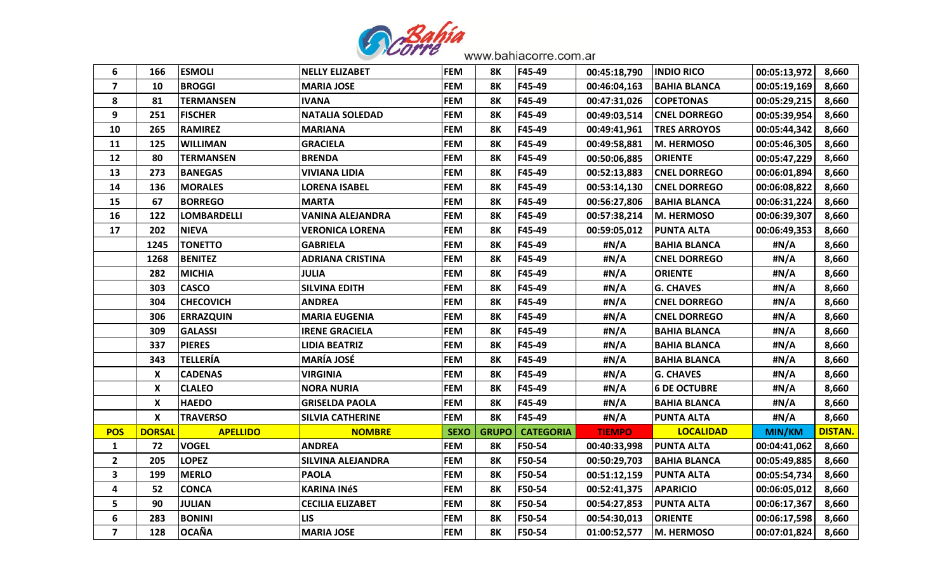

| 6                       | 166           | <b>ESMOLI</b>      | <b>NELLY ELIZABET</b>    | <b>FEM</b>  | 8K           | F45-49           | 00:45:18,790  | <b>IINDIO RICO</b>  | 00:05:13,972  | 8,660          |
|-------------------------|---------------|--------------------|--------------------------|-------------|--------------|------------------|---------------|---------------------|---------------|----------------|
| $\overline{\mathbf{z}}$ | 10            | <b>BROGGI</b>      | <b>MARIA JOSE</b>        | <b>FEM</b>  | <b>8K</b>    | F45-49           | 00:46:04,163  | <b>BAHIA BLANCA</b> | 00:05:19,169  | 8,660          |
| 8                       | 81            | <b>TERMANSEN</b>   | <b>IVANA</b>             | <b>FEM</b>  | 8Κ           | F45-49           | 00:47:31,026  | <b>COPETONAS</b>    | 00:05:29,215  | 8,660          |
| 9                       | 251           | <b>FISCHER</b>     | <b>NATALIA SOLEDAD</b>   | <b>FEM</b>  | <b>8K</b>    | F45-49           | 00:49:03,514  | <b>CNEL DORREGO</b> | 00:05:39,954  | 8,660          |
| 10                      | 265           | <b>RAMIREZ</b>     | <b>MARIANA</b>           | <b>FEM</b>  | <b>8K</b>    | F45-49           | 00:49:41,961  | <b>TRES ARROYOS</b> | 00:05:44,342  | 8,660          |
| 11                      | 125           | <b>WILLIMAN</b>    | <b>GRACIELA</b>          | <b>FEM</b>  | <b>8K</b>    | F45-49           | 00:49:58,881  | M. HERMOSO          | 00:05:46,305  | 8,660          |
| 12                      | 80            | <b>TERMANSEN</b>   | <b>BRENDA</b>            | <b>FEM</b>  | <b>8K</b>    | F45-49           | 00:50:06,885  | <b>ORIENTE</b>      | 00:05:47,229  | 8,660          |
| 13                      | 273           | <b>BANEGAS</b>     | <b>VIVIANA LIDIA</b>     | <b>FEM</b>  | <b>8K</b>    | F45-49           | 00:52:13,883  | <b>CNEL DORREGO</b> | 00:06:01,894  | 8,660          |
| 14                      | 136           | <b>MORALES</b>     | <b>LORENA ISABEL</b>     | <b>FEM</b>  | <b>8K</b>    | F45-49           | 00:53:14,130  | <b>CNEL DORREGO</b> | 00:06:08,822  | 8,660          |
| 15                      | 67            | <b>BORREGO</b>     | <b>MARTA</b>             | <b>FEM</b>  | <b>8K</b>    | F45-49           | 00:56:27,806  | <b>BAHIA BLANCA</b> | 00:06:31,224  | 8,660          |
| 16                      | 122           | <b>LOMBARDELLI</b> | <b>VANINA ALEJANDRA</b>  | <b>FEM</b>  | 8Κ           | F45-49           | 00:57:38,214  | <b>IM. HERMOSO</b>  | 00:06:39,307  | 8,660          |
| 17                      | 202           | <b>NIEVA</b>       | VERONICA LORENA          | <b>FEM</b>  | 8Κ           | F45-49           | 00:59:05,012  | <b>PUNTA ALTA</b>   | 00:06:49,353  | 8,660          |
|                         | 1245          | <b>TONETTO</b>     | <b>GABRIELA</b>          | <b>FEM</b>  | <b>8K</b>    | F45-49           | #N/A          | <b>BAHIA BLANCA</b> | #N/A          | 8,660          |
|                         | 1268          | <b>BENITEZ</b>     | <b>ADRIANA CRISTINA</b>  | <b>FEM</b>  | <b>8K</b>    | F45-49           | #N/A          | <b>CNEL DORREGO</b> | #N/A          | 8,660          |
|                         | 282           | <b>MICHIA</b>      | <b>JULIA</b>             | <b>FEM</b>  | <b>8K</b>    | F45-49           | #N/A          | <b>ORIENTE</b>      | #N/A          | 8,660          |
|                         | 303           | <b>CASCO</b>       | <b>SILVINA EDITH</b>     | <b>FEM</b>  | <b>8K</b>    | F45-49           | #N/A          | <b>G. CHAVES</b>    | #N/A          | 8,660          |
|                         | 304           | <b>CHECOVICH</b>   | ANDREA                   | <b>FEM</b>  | <b>8K</b>    | F45-49           | #N/A          | <b>CNEL DORREGO</b> | #N/A          | 8,660          |
|                         | 306           | <b>ERRAZQUIN</b>   | <b>MARIA EUGENIA</b>     | <b>FEM</b>  | 8Κ           | F45-49           | #N/A          | <b>CNEL DORREGO</b> | #N/A          | 8,660          |
|                         | 309           | <b>GALASSI</b>     | <b>IRENE GRACIELA</b>    | <b>FEM</b>  | <b>8K</b>    | F45-49           | #N/A          | <b>BAHIA BLANCA</b> | #N/A          | 8,660          |
|                         | 337           | <b>PIERES</b>      | LIDIA BEATRIZ            | <b>FEM</b>  | 8Κ           | F45-49           | #N/A          | <b>BAHIA BLANCA</b> | #N/A          | 8,660          |
|                         | 343           | <b>TELLERÍA</b>    | <b>MARÍA JOSÉ</b>        | <b>FEM</b>  | <b>8K</b>    | F45-49           | #N/A          | <b>BAHIA BLANCA</b> | #N/A          | 8,660          |
|                         | X             | <b>CADENAS</b>     | <b>VIRGINIA</b>          | <b>FEM</b>  | <b>8K</b>    | F45-49           | #N/A          | <b>G. CHAVES</b>    | #N/A          | 8,660          |
|                         | X             | <b>CLALEO</b>      | <b>NORA NURIA</b>        | <b>FEM</b>  | <b>8K</b>    | F45-49           | #N/A          | <b>6 DE OCTUBRE</b> | #N/A          | 8,660          |
|                         | X             | <b>HAEDO</b>       | <b>GRISELDA PAOLA</b>    | <b>FEM</b>  | <b>8K</b>    | F45-49           | #N/A          | <b>BAHIA BLANCA</b> | #N/A          | 8,660          |
|                         | X             | <b>TRAVERSO</b>    | <b>SILVIA CATHERINE</b>  | <b>FEM</b>  | <b>8K</b>    | F45-49           | #N/A          | <b>PUNTA ALTA</b>   | #N/A          | 8,660          |
| <b>POS</b>              | <b>DORSAL</b> | <b>APELLIDO</b>    | <b>NOMBRE</b>            | <b>SEXO</b> | <b>GRUPO</b> | <b>CATEGORIA</b> | <b>TIEMPO</b> | <b>LOCALIDAD</b>    | <b>MIN/KM</b> | <b>DISTAN.</b> |
| $\mathbf{1}$            | 72            | <b>VOGEL</b>       | <b>ANDREA</b>            | <b>FEM</b>  | 8Κ           | F50-54           | 00:40:33,998  | <b>PUNTA ALTA</b>   | 00:04:41,062  | 8,660          |
| $\mathbf{2}$            | 205           | <b>LOPEZ</b>       | <b>SILVINA ALEJANDRA</b> | <b>FEM</b>  | <b>8K</b>    | F50-54           | 00:50:29,703  | BAHIA BLANCA        | 00:05:49,885  | 8,660          |
| $\overline{\mathbf{3}}$ | 199           | <b>MERLO</b>       | <b>PAOLA</b>             | <b>FEM</b>  | <b>8K</b>    | F50-54           | 00:51:12,159  | <b>PUNTA ALTA</b>   | 00:05:54,734  | 8,660          |
| 4                       | 52            | <b>CONCA</b>       | <b>KARINA INÉS</b>       | <b>FEM</b>  | <b>8K</b>    | F50-54           | 00:52:41,375  | <b>APARICIO</b>     | 00:06:05,012  | 8,660          |
| 5                       | 90            | <b>JULIAN</b>      | <b>CECILIA ELIZABET</b>  | <b>FEM</b>  | <b>8K</b>    | F50-54           | 00:54:27,853  | <b>PUNTA ALTA</b>   | 00:06:17,367  | 8,660          |
| 6                       | 283           | <b>BONINI</b>      | <b>LIS</b>               | <b>FEM</b>  | <b>8K</b>    | F50-54           | 00:54:30,013  | <b>ORIENTE</b>      | 00:06:17,598  | 8,660          |
| $\overline{7}$          | 128           | <b>OCAÑA</b>       | <b>MARIA JOSE</b>        | <b>FEM</b>  | <b>8K</b>    | F50-54           | 01:00:52,577  | M. HERMOSO          | 00:07:01,824  | 8,660          |
|                         |               |                    |                          |             |              |                  |               |                     |               |                |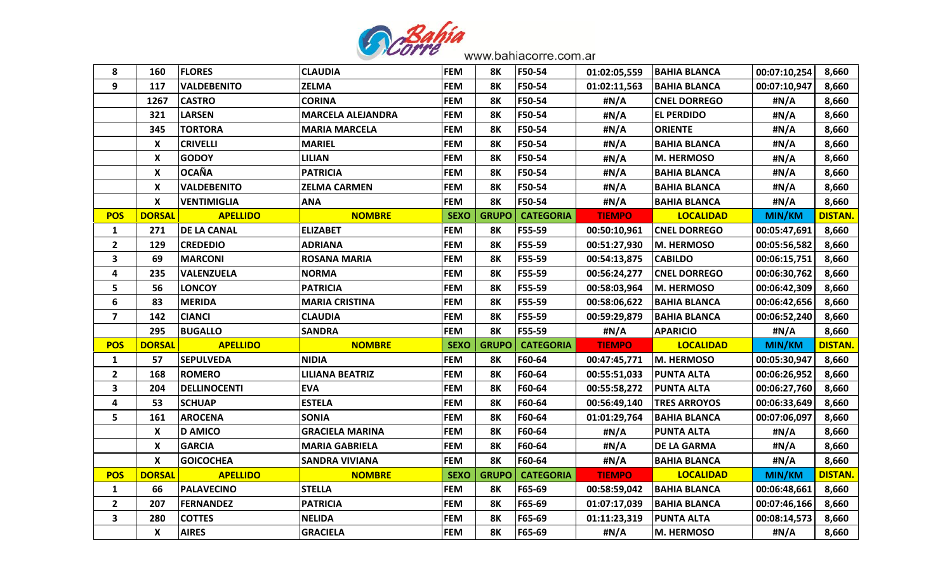

| 8                       | 160                       | <b>FLORES</b>      | <b>CLAUDIA</b>           | <b>FEM</b>  | 8Κ           | F50-54           | 01:02:05,559  | <b>BAHIA BLANCA</b>  | 00:07:10,254  | 8,660          |
|-------------------------|---------------------------|--------------------|--------------------------|-------------|--------------|------------------|---------------|----------------------|---------------|----------------|
| 9                       | 117                       | <b>VALDEBENITO</b> | <b>ZELMA</b>             | <b>FEM</b>  | <b>8K</b>    | F50-54           | 01:02:11,563  | <b>BAHIA BLANCA</b>  | 00:07:10,947  | 8,660          |
|                         | 1267                      | <b>CASTRO</b>      | <b>CORINA</b>            | <b>FEM</b>  | 8K           | F50-54           | #N/A          | <b>CNEL DORREGO</b>  | #N/A          | 8,660          |
|                         | 321                       | <b>LARSEN</b>      | <b>MARCELA ALEJANDRA</b> | <b>FEM</b>  | 8Κ           | F50-54           | #N/A          | <b>EL PERDIDO</b>    | #N/A          | 8,660          |
|                         | 345                       | <b>TORTORA</b>     | <b>MARIA MARCELA</b>     | <b>FEM</b>  | 8К           | F50-54           | #N/A          | <b>ORIENTE</b>       | #N/A          | 8,660          |
|                         | X                         | <b>CRIVELLI</b>    | <b>MARIEL</b>            | <b>FEM</b>  | 8Κ           | F50-54           | #N/A          | <b>BAHIA BLANCA</b>  | #N/A          | 8,660          |
|                         | $\pmb{\mathsf{X}}$        | <b>GODOY</b>       | <b>LILIAN</b>            | <b>FEM</b>  | <b>8K</b>    | F50-54           | #N/A          | <b>M. HERMOSO</b>    | #N/A          | 8,660          |
|                         | X                         | <b>OCAÑA</b>       | <b>PATRICIA</b>          | <b>FEM</b>  | 8Κ           | F50-54           | #N/A          | <b>BAHIA BLANCA</b>  | #N/A          | 8,660          |
|                         | X                         | <b>VALDEBENITO</b> | <b>ZELMA CARMEN</b>      | <b>FEM</b>  | 8K           | F50-54           | #N/A          | <b>BAHIA BLANCA</b>  | #N/A          | 8,660          |
|                         | $\boldsymbol{\mathsf{X}}$ | <b>VENTIMIGLIA</b> | <b>ANA</b>               | <b>FEM</b>  | <b>8K</b>    | F50-54           | #N/A          | <b>BAHIA BLANCA</b>  | #N/A          | 8,660          |
| <b>POS</b>              | <b>DORSAL</b>             | <b>APELLIDO</b>    | <b>NOMBRE</b>            | <b>SEXO</b> | <b>GRUPO</b> | <b>CATEGORIA</b> | <b>TIEMPO</b> | <b>LOCALIDAD</b>     | <b>MIN/KM</b> | <b>DISTAN.</b> |
| $\mathbf{1}$            | 271                       | <b>DE LA CANAL</b> | <b>ELIZABET</b>          | <b>FEM</b>  | 8К           | F55-59           | 00:50:10,961  | <b> CNEL DORREGO</b> | 00:05:47,691  | 8,660          |
| $\overline{2}$          | 129                       | <b>CREDEDIO</b>    | <b>ADRIANA</b>           | <b>FEM</b>  | 8K           | F55-59           | 00:51:27,930  | <b>IM. HERMOSO</b>   | 00:05:56,582  | 8,660          |
| $\overline{\mathbf{3}}$ | 69                        | <b>MARCONI</b>     | <b>ROSANA MARIA</b>      | <b>FEM</b>  | 8Κ           | F55-59           | 00:54:13,875  | <b>CABILDO</b>       | 00:06:15,751  | 8,660          |
| 4                       | 235                       | <b>VALENZUELA</b>  | <b>NORMA</b>             | <b>FEM</b>  | <b>8K</b>    | F55-59           | 00:56:24,277  | <b>CNEL DORREGO</b>  | 00:06:30,762  | 8,660          |
| 5                       | 56                        | <b>LONCOY</b>      | <b>PATRICIA</b>          | <b>FEM</b>  | <b>8K</b>    | F55-59           | 00:58:03,964  | <b>M. HERMOSO</b>    | 00:06:42,309  | 8,660          |
| 6                       | 83                        | <b>MERIDA</b>      | <b>MARIA CRISTINA</b>    | <b>FEM</b>  | 8Κ           | F55-59           | 00:58:06,622  | <b>BAHIA BLANCA</b>  | 00:06:42,656  | 8,660          |
| $\overline{\mathbf{z}}$ | 142                       | <b>CIANCI</b>      | <b>CLAUDIA</b>           | <b>FEM</b>  | 8Κ           | F55-59           | 00:59:29,879  | BAHIA BLANCA         | 00:06:52,240  | 8,660          |
|                         | 295                       | <b>BUGALLO</b>     | <b>SANDRA</b>            | <b>FEM</b>  | <b>8K</b>    | F55-59           | #N/A          | <b>APARICIO</b>      | #N/A          | 8,660          |
| <b>POS</b>              | <b>DORSAL</b>             | <b>APELLIDO</b>    | <b>NOMBRE</b>            | <b>SEXO</b> | <b>GRUPO</b> | <b>CATEGORIA</b> | <b>TIEMPO</b> | <b>LOCALIDAD</b>     | <b>MIN/KM</b> | <b>DISTAN.</b> |
| $\mathbf{1}$            | 57                        | <b>SEPULVEDA</b>   | <b>NIDIA</b>             | <b>FEM</b>  | 8Κ           | F60-64           | 00:47:45,771  | M. HERMOSO           | 00:05:30,947  | 8,660          |
| $\overline{2}$          | 168                       | <b>ROMERO</b>      | <b>LILIANA BEATRIZ</b>   | <b>FEM</b>  | 8K           | F60-64           | 00:55:51,033  | <b> PUNTA ALTA</b>   | 00:06:26,952  | 8,660          |
| 3                       | 204                       | DELLINOCENTI       | <b>EVA</b>               | <b>FEM</b>  | <b>8K</b>    | F60-64           | 00:55:58,272  | <b>PUNTA ALTA</b>    | 00:06:27,760  | 8,660          |
| $\overline{\mathbf{4}}$ | 53                        | <b>SCHUAP</b>      | <b>ESTELA</b>            | <b>FEM</b>  | 8Κ           | F60-64           | 00:56:49,140  | <b>TRES ARROYOS</b>  | 00:06:33,649  | 8,660          |
| 5                       | 161                       | <b>AROCENA</b>     | <b>SONIA</b>             | <b>FEM</b>  | 8Κ           | F60-64           | 01:01:29,764  | <b>BAHIA BLANCA</b>  | 00:07:06,097  | 8,660          |
|                         | X                         | <b>D AMICO</b>     | <b>GRACIELA MARINA</b>   | <b>FEM</b>  | 8K           | F60-64           | #N/A          | PUNTA ALTA           | #N/A          | 8,660          |
|                         | X                         | <b>GARCIA</b>      | <b>MARIA GABRIELA</b>    | <b>FEM</b>  | <b>8K</b>    | F60-64           | #N/A          | <b>DE LA GARMA</b>   | #N/A          | 8,660          |
|                         | X                         | <b>GOICOCHEA</b>   | SANDRA VIVIANA           | <b>FEM</b>  | 8K           | F60-64           | #N/A          | <b>BAHIA BLANCA</b>  | #N/A          | 8,660          |
| <b>POS</b>              | <b>DORSAL</b>             | <b>APELLIDO</b>    | <b>NOMBRE</b>            | <b>SEXO</b> | <b>GRUPO</b> | <b>CATEGORIA</b> | <b>TIEMPO</b> | <b>LOCALIDAD</b>     | <b>MIN/KM</b> | <b>DISTAN</b>  |
| $\mathbf{1}$            | 66                        | <b>PALAVECINO</b>  | <b>STELLA</b>            | <b>FEM</b>  | 8K           | F65-69           | 00:58:59,042  | <b>BAHIA BLANCA</b>  | 00:06:48,661  | 8,660          |
| $\overline{2}$          | 207                       | <b>FERNANDEZ</b>   | <b>PATRICIA</b>          | <b>FEM</b>  | 8Κ           | F65-69           | 01:07:17,039  | <b>BAHIA BLANCA</b>  | 00:07:46,166  | 8,660          |
| $\overline{\mathbf{3}}$ | 280                       | <b>COTTES</b>      | <b>NELIDA</b>            | <b>FEM</b>  | 8Κ           | F65-69           | 01:11:23,319  | <b>PUNTA ALTA</b>    | 00:08:14,573  | 8,660          |
|                         | X                         | <b>AIRES</b>       | <b>GRACIELA</b>          | <b>FEM</b>  | <b>8K</b>    | F65-69           | #N/A          | M. HERMOSO           | #N/A          | 8,660          |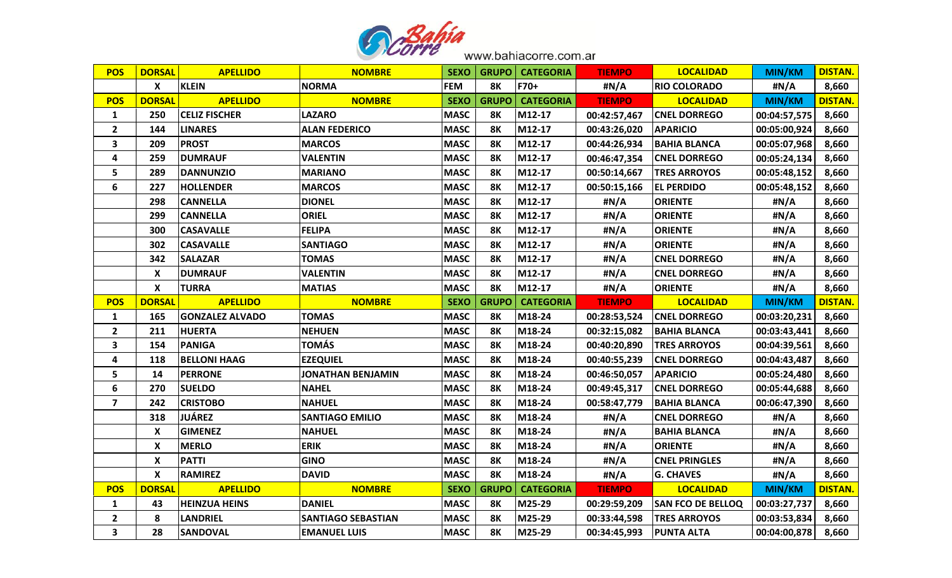

| <b>POS</b>              | <b>DORSAL</b>    | <b>APELLIDO</b>        | <b>NOMBRE</b>             | <b>SEXO</b> |              | <b>GRUPO   CATEGORIA</b> | <b>TIEMPO</b> | <b>LOCALIDAD</b>         | MIN/KM        | <b>DISTAN.</b> |
|-------------------------|------------------|------------------------|---------------------------|-------------|--------------|--------------------------|---------------|--------------------------|---------------|----------------|
|                         | X                | <b>KLEIN</b>           | <b>NORMA</b>              | <b>FEM</b>  | <b>8K</b>    | F70+                     | #N/A          | <b>RIO COLORADO</b>      | #N/A          | 8,660          |
| <b>POS</b>              | <b>DORSAL</b>    | <b>APELLIDO</b>        | <b>NOMBRE</b>             | <b>SEXO</b> | <b>GRUPO</b> | <b>CATEGORIA</b>         | <b>TIEMPO</b> | <b>LOCALIDAD</b>         | <b>MIN/KM</b> | <b>DISTAN.</b> |
| 1                       | 250              | <b>CELIZ FISCHER</b>   | <b>LAZARO</b>             | <b>MASC</b> | <b>8K</b>    | M12-17                   | 00:42:57,467  | <b>CNEL DORREGO</b>      | 00:04:57,575  | 8,660          |
| $\overline{2}$          | 144              | <b>LINARES</b>         | <b>ALAN FEDERICO</b>      | <b>MASC</b> | 8Κ           | M12-17                   | 00:43:26,020  | <b>APARICIO</b>          | 00:05:00,924  | 8,660          |
| $\mathbf{3}$            | 209              | <b>PROST</b>           | <b>MARCOS</b>             | <b>MASC</b> | <b>8K</b>    | M12-17                   | 00:44:26,934  | <b>BAHIA BLANCA</b>      | 00:05:07,968  | 8,660          |
| 4                       | 259              | <b>DUMRAUF</b>         | <b>VALENTIN</b>           | <b>MASC</b> | <b>8K</b>    | M12-17                   | 00:46:47,354  | <b>CNEL DORREGO</b>      | 00:05:24,134  | 8,660          |
| 5                       | 289              | <b>DANNUNZIO</b>       | <b>MARIANO</b>            | <b>MASC</b> | <b>8K</b>    | M12-17                   | 00:50:14,667  | <b>TRES ARROYOS</b>      | 00:05:48,152  | 8,660          |
| 6                       | 227              | <b>HOLLENDER</b>       | <b>MARCOS</b>             | <b>MASC</b> | <b>8K</b>    | M12-17                   | 00:50:15,166  | <b>EL PERDIDO</b>        | 00:05:48,152  | 8,660          |
|                         | 298              | <b>CANNELLA</b>        | <b>DIONEL</b>             | <b>MASC</b> | <b>8K</b>    | M12-17                   | #N/A          | <b>ORIENTE</b>           | #N/A          | 8,660          |
|                         | 299              | <b>CANNELLA</b>        | <b>ORIEL</b>              | <b>MASC</b> | <b>8K</b>    | M12-17                   | #N/A          | <b>ORIENTE</b>           | #N/A          | 8,660          |
|                         | 300              | <b>CASAVALLE</b>       | <b>FELIPA</b>             | <b>MASC</b> | <b>8K</b>    | M12-17                   | #N/A          | <b>ORIENTE</b>           | #N/A          | 8,660          |
|                         | 302              | <b>CASAVALLE</b>       | <b>SANTIAGO</b>           | <b>MASC</b> | <b>8K</b>    | M12-17                   | #N/A          | <b>ORIENTE</b>           | #N/A          | 8,660          |
|                         | 342              | <b>SALAZAR</b>         | <b>TOMAS</b>              | <b>MASC</b> | 8K           | M12-17                   | #N/A          | <b>CNEL DORREGO</b>      | #N/A          | 8,660          |
|                         | X                | <b>DUMRAUF</b>         | <b>VALENTIN</b>           | <b>MASC</b> | <b>8K</b>    | M12-17                   | #N/A          | <b>CNEL DORREGO</b>      | #N/A          | 8,660          |
|                         | X                | TURRA                  | <b>MATIAS</b>             | <b>MASC</b> | <b>8K</b>    | M12-17                   | #N/A          | <b>ORIENTE</b>           | #N/A          | 8,660          |
| <b>POS</b>              | <b>DORSAL</b>    | <b>APELLIDO</b>        | <b>NOMBRE</b>             | <b>SEXO</b> | <b>GRUPO</b> | <b>CATEGORIA</b>         | <b>TIEMPO</b> | <b>LOCALIDAD</b>         | <b>MIN/KM</b> | <b>DISTAN.</b> |
| $\mathbf{1}$            | 165              | <b>GONZALEZ ALVADO</b> | <b>TOMAS</b>              | <b>MASC</b> | <b>8K</b>    | M18-24                   | 00:28:53,524  | <b>CNEL DORREGO</b>      | 00:03:20,231  | 8,660          |
| $\overline{2}$          | 211              | <b>HUERTA</b>          | <b>NEHUEN</b>             | <b>MASC</b> | 8Κ           | M18-24                   | 00:32:15,082  | <b>BAHIA BLANCA</b>      | 00:03:43,441  | 8,660          |
| 3                       | 154              | <b>PANIGA</b>          | <b>TOMÁS</b>              | <b>MASC</b> | 8Κ           | M18-24                   | 00:40:20,890  | <b>TRES ARROYOS</b>      | 00:04:39,561  | 8,660          |
| 4                       | 118              | <b>BELLONI HAAG</b>    | <b>EZEQUIEL</b>           | <b>MASC</b> | <b>8K</b>    | M18-24                   | 00:40:55,239  | <b>CNEL DORREGO</b>      | 00:04:43,487  | 8,660          |
| 5                       | 14               | <b>PERRONE</b>         | <b>JONATHAN BENJAMIN</b>  | <b>MASC</b> | <b>8K</b>    | M18-24                   | 00:46:50,057  | <b>APARICIO</b>          | 00:05:24,480  | 8,660          |
| 6                       | 270              | <b>SUELDO</b>          | <b>NAHEL</b>              | <b>MASC</b> | <b>8K</b>    | M18-24                   | 00:49:45,317  | <b>CNEL DORREGO</b>      | 00:05:44,688  | 8,660          |
| $\overline{\mathbf{z}}$ | 242              | <b>CRISTOBO</b>        | <b>NAHUEL</b>             | <b>MASC</b> | <b>8K</b>    | M18-24                   | 00:58:47,779  | <b>BAHIA BLANCA</b>      | 00:06:47,390  | 8,660          |
|                         | 318              | <b>JUÁREZ</b>          | <b>SANTIAGO EMILIO</b>    | <b>MASC</b> | <b>8K</b>    | M18-24                   | #N/A          | <b>CNEL DORREGO</b>      | #N/A          | 8,660          |
|                         | X                | <b>GIMENEZ</b>         | <b>NAHUEL</b>             | <b>MASC</b> | <b>8K</b>    | M18-24                   | #N/A          | <b>BAHIA BLANCA</b>      | #N/A          | 8,660          |
|                         | X                | <b>MERLO</b>           | <b>ERIK</b>               | <b>MASC</b> | 8Κ           | M18-24                   | #N/A          | <b>ORIENTE</b>           | #N/A          | 8,660          |
|                         | X                | <b>PATTI</b>           | <b>GINO</b>               | <b>MASC</b> | <b>8K</b>    | M18-24                   | #N/A          | <b>CNEL PRINGLES</b>     | #N/A          | 8,660          |
|                         | $\boldsymbol{X}$ | <b>RAMIREZ</b>         | <b>DAVID</b>              | <b>MASC</b> | <b>8K</b>    | M18-24                   | #N/A          | <b>G. CHAVES</b>         | #N/A          | 8,660          |
| <b>POS</b>              | <b>DORSAL</b>    | <b>APELLIDO</b>        | <b>NOMBRE</b>             | <b>SEXO</b> | <b>GRUPO</b> | <b>CATEGORIA</b>         | <b>TIEMPO</b> | <b>LOCALIDAD</b>         | <b>MIN/KM</b> | <b>DISTAN.</b> |
| 1                       | 43               | <b>HEINZUA HEINS</b>   | <b>DANIEL</b>             | <b>MASC</b> | 8Κ           | M25-29                   | 00:29:59,209  | <b>SAN FCO DE BELLOQ</b> | 00:03:27,737  | 8,660          |
| $\mathbf{2}$            | 8                | <b>LANDRIEL</b>        | <b>SANTIAGO SEBASTIAN</b> | <b>MASC</b> | <b>8K</b>    | M25-29                   | 00:33:44,598  | <b>TRES ARROYOS</b>      | 00:03:53,834  | 8,660          |
| 3                       | 28               | <b>SANDOVAL</b>        | <b>EMANUEL LUIS</b>       | <b>MASC</b> | <b>8K</b>    | M25-29                   | 00:34:45,993  | <b>PUNTA ALTA</b>        | 00:04:00,878  | 8,660          |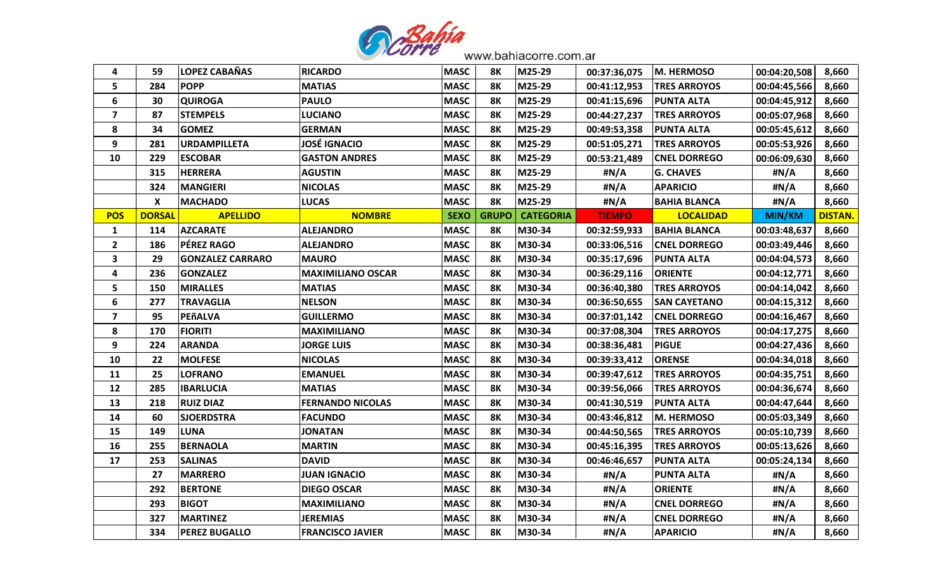

| 4                       | 59               | <b>LOPEZ CABAÑAS</b>    | <b>RICARDO</b>           | <b>MASC</b> | 8Κ           | M25-29           | 00:37:36,075  | M. HERMOSO          | 00:04:20,508  | 8,660          |
|-------------------------|------------------|-------------------------|--------------------------|-------------|--------------|------------------|---------------|---------------------|---------------|----------------|
| 5                       | 284              | <b>POPP</b>             | <b>MATIAS</b>            | <b>MASC</b> | <b>8K</b>    | M25-29           | 00:41:12,953  | <b>TRES ARROYOS</b> | 00:04:45,566  | 8,660          |
| 6                       | 30               | <b>QUIROGA</b>          | <b>PAULO</b>             | <b>MASC</b> | <b>8K</b>    | M25-29           | 00:41:15,696  | <b>PUNTA ALTA</b>   | 00:04:45,912  | 8,660          |
| $\overline{\mathbf{z}}$ | 87               | <b>STEMPELS</b>         | <b>LUCIANO</b>           | <b>MASC</b> | 8Κ           | M25-29           | 00:44:27,237  | <b>TRES ARROYOS</b> | 00:05:07,968  | 8,660          |
| 8                       | 34               | <b>GOMEZ</b>            | <b>GERMAN</b>            | <b>MASC</b> | 8Κ           | M25-29           | 00:49:53,358  | <b>PUNTA ALTA</b>   | 00:05:45,612  | 8,660          |
| 9                       | 281              | <b>URDAMPILLETA</b>     | <b>JOSÉ IGNACIO</b>      | <b>MASC</b> | 8Κ           | M25-29           | 00:51:05,271  | <b>TRES ARROYOS</b> | 00:05:53,926  | 8,660          |
| 10                      | 229              | <b>ESCOBAR</b>          | <b>GASTON ANDRES</b>     | <b>MASC</b> | <b>8K</b>    | M25-29           | 00:53:21,489  | <b>CNEL DORREGO</b> | 00:06:09,630  | 8,660          |
|                         | 315              | <b>HERRERA</b>          | <b>AGUSTIN</b>           | <b>MASC</b> | <b>8K</b>    | M25-29           | #N/A          | <b>G. CHAVES</b>    | #N/A          | 8,660          |
|                         | 324              | <b>MANGIERI</b>         | <b>NICOLAS</b>           | <b>MASC</b> | <b>8K</b>    | M25-29           | #N/A          | <b>APARICIO</b>     | #N/A          | 8,660          |
|                         | $\boldsymbol{X}$ | <b>MACHADO</b>          | <b>LUCAS</b>             | <b>MASC</b> | <b>8K</b>    | M25-29           | #N/A          | <b>BAHIA BLANCA</b> | #N/A          | 8,660          |
| <b>POS</b>              | <b>DORSAL</b>    | <b>APELLIDO</b>         | <b>NOMBRE</b>            | <b>SEXO</b> | <b>GRUPO</b> | <b>CATEGORIA</b> | <b>TIEMPO</b> | <b>LOCALIDAD</b>    | <b>MIN/KM</b> | <b>DISTAN.</b> |
| 1                       | 114              | <b>AZCARATE</b>         | <b>ALEJANDRO</b>         | <b>MASC</b> | 8Κ           | M30-34           | 00:32:59,933  | <b>BAHIA BLANCA</b> | 00:03:48,637  | 8,660          |
| $\mathbf{2}$            | 186              | <b>PÉREZ RAGO</b>       | <b>ALEJANDRO</b>         | <b>MASC</b> | 8Κ           | M30-34           | 00:33:06,516  | <b>CNEL DORREGO</b> | 00:03:49,446  | 8,660          |
| $\mathbf{3}$            | 29               | <b>GONZALEZ CARRARO</b> | <b>MAURO</b>             | <b>MASC</b> | 8K           | M30-34           | 00:35:17,696  | <b>PUNTA ALTA</b>   | 00:04:04,573  | 8,660          |
| 4                       | 236              | <b>GONZALEZ</b>         | <b>MAXIMILIANO OSCAR</b> | <b>MASC</b> | 8Κ           | M30-34           | 00:36:29,116  | <b>ORIENTE</b>      | 00:04:12,771  | 8,660          |
| 5                       | 150              | <b>MIRALLES</b>         | <b>MATIAS</b>            | <b>MASC</b> | 8Κ           | M30-34           | 00:36:40,380  | <b>TRES ARROYOS</b> | 00:04:14,042  | 8,660          |
| 6                       | 277              | <b>TRAVAGLIA</b>        | <b>NELSON</b>            | <b>MASC</b> | 8Κ           | M30-34           | 00:36:50,655  | <b>SAN CAYETANO</b> | 00:04:15,312  | 8,660          |
| $\overline{\mathbf{z}}$ | 95               | PEñALVA                 | <b>GUILLERMO</b>         | <b>MASC</b> | 8Κ           | M30-34           | 00:37:01,142  | <b>CNEL DORREGO</b> | 00:04:16,467  | 8,660          |
| 8                       | 170              | <b>FIORITI</b>          | <b>MAXIMILIANO</b>       | <b>MASC</b> | 8Κ           | M30-34           | 00:37:08,304  | <b>TRES ARROYOS</b> | 00:04:17,275  | 8,660          |
| 9                       | 224              | <b>ARANDA</b>           | <b>JORGE LUIS</b>        | <b>MASC</b> | 8Κ           | M30-34           | 00:38:36,481  | <b>PIGUE</b>        | 00:04:27,436  | 8,660          |
| 10                      | 22               | <b>MOLFESE</b>          | <b>NICOLAS</b>           | <b>MASC</b> | 8Κ           | M30-34           | 00:39:33,412  | <b>ORENSE</b>       | 00:04:34,018  | 8,660          |
| 11                      | 25               | <b>LOFRANO</b>          | <b>EMANUEL</b>           | <b>MASC</b> | 8Κ           | M30-34           | 00:39:47,612  | <b>TRES ARROYOS</b> | 00:04:35,751  | 8,660          |
| 12                      | 285              | <b>IBARLUCIA</b>        | <b>MATIAS</b>            | <b>MASC</b> | <b>8K</b>    | M30-34           | 00:39:56,066  | <b>TRES ARROYOS</b> | 00:04:36,674  | 8,660          |
| 13                      | 218              | <b>RUIZ DIAZ</b>        | <b>FERNANDO NICOLAS</b>  | <b>MASC</b> | 8Κ           | M30-34           | 00:41:30,519  | <b>PUNTA ALTA</b>   | 00:04:47,644  | 8,660          |
| 14                      | 60               | <b>SJOERDSTRA</b>       | <b>FACUNDO</b>           | <b>MASC</b> | <b>8K</b>    | M30-34           | 00:43:46,812  | M. HERMOSO          | 00:05:03,349  | 8,660          |
| 15                      | 149              | <b>LUNA</b>             | <b>JONATAN</b>           | <b>MASC</b> | 8Κ           | M30-34           | 00:44:50,565  | <b>TRES ARROYOS</b> | 00:05:10,739  | 8,660          |
| 16                      | 255              | <b>BERNAOLA</b>         | <b>MARTIN</b>            | <b>MASC</b> | <b>8K</b>    | M30-34           | 00:45:16,395  | <b>TRES ARROYOS</b> | 00:05:13,626  | 8,660          |
| 17                      | 253              | <b>SALINAS</b>          | <b>DAVID</b>             | <b>MASC</b> | 8Κ           | M30-34           | 00:46:46,657  | <b>PUNTA ALTA</b>   | 00:05:24,134  | 8,660          |
|                         | 27               | <b>MARRERO</b>          | <b>JUAN IGNACIO</b>      | <b>MASC</b> | <b>8K</b>    | M30-34           | #N/A          | <b>PUNTA ALTA</b>   | #N/A          | 8,660          |
|                         | 292              | <b>BERTONE</b>          | <b>DIEGO OSCAR</b>       | <b>MASC</b> | <b>8K</b>    | M30-34           | #N/A          | <b>ORIENTE</b>      | #N/A          | 8,660          |
|                         | 293              | <b>BIGOT</b>            | <b>MAXIMILIANO</b>       | <b>MASC</b> | 8Κ           | M30-34           | #N/A          | <b>CNEL DORREGO</b> | #N/A          | 8,660          |
|                         | 327              | <b>MARTINEZ</b>         | <b>JEREMIAS</b>          | <b>MASC</b> | 8Κ           | M30-34           | #N/A          | <b>CNEL DORREGO</b> | #N/A          | 8,660          |
|                         | 334              | <b>PEREZ BUGALLO</b>    | <b>FRANCISCO JAVIER</b>  | <b>MASC</b> | 8K           | M30-34           | #N/A          | <b>APARICIO</b>     | #N/A          | 8,660          |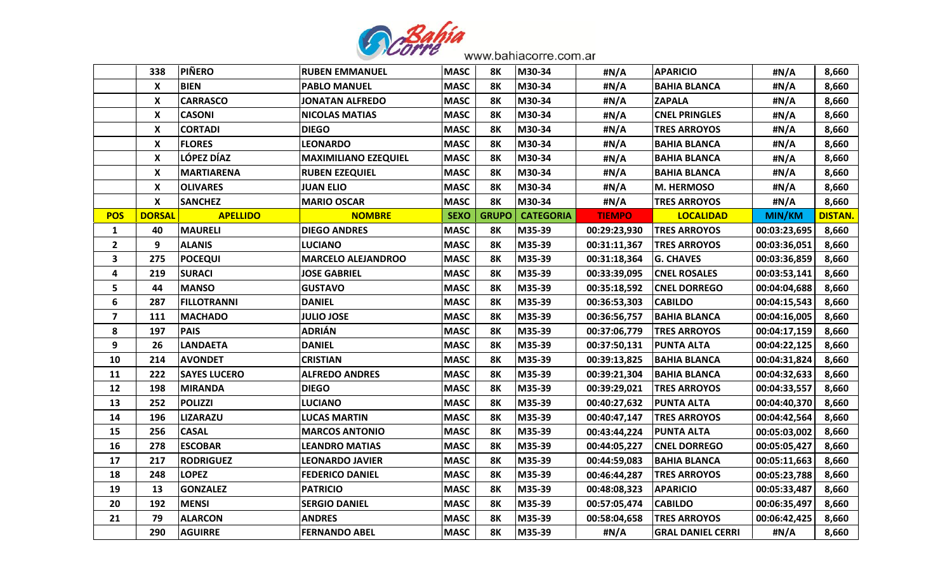

|                         | 338                       | <b>PIÑERO</b>       | <b>RUBEN EMMANUEL</b>       | <b>MASC</b> | 8К           | M30-34           | #N/A          | <b>APARICIO</b>          | #N/A          | 8,660          |
|-------------------------|---------------------------|---------------------|-----------------------------|-------------|--------------|------------------|---------------|--------------------------|---------------|----------------|
|                         | $\boldsymbol{\mathsf{X}}$ | <b>BIEN</b>         | <b>PABLO MANUEL</b>         | <b>MASC</b> | 8Κ           | M30-34           | #N/A          | <b>BAHIA BLANCA</b>      | #N/A          | 8,660          |
|                         | X                         | <b>CARRASCO</b>     | JONATAN ALFREDO             | <b>MASC</b> | 8K           | M30-34           | #N/A          | <b>ZAPALA</b>            | #N/A          | 8,660          |
|                         | X                         | <b>CASONI</b>       | <b>NICOLAS MATIAS</b>       | <b>MASC</b> | <b>8K</b>    | M30-34           | #N/A          | <b>CNEL PRINGLES</b>     | #N/A          | 8,660          |
|                         | X                         | <b>CORTADI</b>      | <b>DIEGO</b>                | <b>MASC</b> | 8К           | M30-34           | #N/A          | <b>TRES ARROYOS</b>      | #N/A          | 8,660          |
|                         | X                         | <b>FLORES</b>       | <b>LEONARDO</b>             | <b>MASC</b> | 8К           | M30-34           | #N/A          | <b>BAHIA BLANCA</b>      | #N/A          | 8,660          |
|                         | $\boldsymbol{\mathsf{x}}$ | LÓPEZ DÍAZ          | <b>MAXIMILIANO EZEQUIEL</b> | <b>MASC</b> | 8K           | M30-34           | #N/A          | BAHIA BLANCA             | #N/A          | 8,660          |
|                         | X                         | <b>MARTIARENA</b>   | <b>RUBEN EZEQUIEL</b>       | <b>MASC</b> | 8Κ           | M30-34           | #N/A          | <b>BAHIA BLANCA</b>      | #N/A          | 8,660          |
|                         | X                         | <b>OLIVARES</b>     | JUAN ELIO                   | <b>MASC</b> | 8K           | M30-34           | #N/A          | M. HERMOSO               | #N/A          | 8,660          |
|                         | $\boldsymbol{\mathsf{X}}$ | <b>SANCHEZ</b>      | <b>MARIO OSCAR</b>          | <b>MASC</b> | 8K           | M30-34           | #N/A          | <b>TRES ARROYOS</b>      | #N/A          | 8,660          |
| <b>POS</b>              | <b>DORSAL</b>             | <b>APELLIDO</b>     | <b>NOMBRE</b>               | <b>SEXO</b> | <b>GRUPO</b> | <b>CATEGORIA</b> | <b>TIEMPO</b> | <b>LOCALIDAD</b>         | <b>MIN/KM</b> | <b>DISTAN.</b> |
| $\mathbf{1}$            | 40                        | <b>MAURELI</b>      | <b>DIEGO ANDRES</b>         | <b>MASC</b> | 8Κ           | M35-39           | 00:29:23,930  | <b>TRES ARROYOS</b>      | 00:03:23,695  | 8,660          |
| $\overline{2}$          | 9                         | <b>ALANIS</b>       | <b>LUCIANO</b>              | <b>MASC</b> | 8K           | M35-39           | 00:31:11,367  | <b>TRES ARROYOS</b>      | 00:03:36,051  | 8,660          |
| $\overline{\mathbf{3}}$ | 275                       | <b>POCEQUI</b>      | <b>MARCELO ALEJANDROO</b>   | <b>MASC</b> | <b>8K</b>    | M35-39           | 00:31:18,364  | <b>G. CHAVES</b>         | 00:03:36,859  | 8,660          |
| 4                       | 219                       | <b>SURACI</b>       | <b>JOSE GABRIEL</b>         | <b>MASC</b> | <b>8K</b>    | M35-39           | 00:33:39,095  | <b>CNEL ROSALES</b>      | 00:03:53,141  | 8,660          |
| 5                       | 44                        | <b>MANSO</b>        | <b>GUSTAVO</b>              | <b>MASC</b> | 8Κ           | M35-39           | 00:35:18,592  | <b>CNEL DORREGO</b>      | 00:04:04,688  | 8,660          |
| 6                       | 287                       | <b>FILLOTRANNI</b>  | <b>DANIEL</b>               | <b>MASC</b> | 8K           | M35-39           | 00:36:53,303  | <b>CABILDO</b>           | 00:04:15,543  | 8,660          |
| $\overline{\mathbf{z}}$ | 111                       | <b>MACHADO</b>      | <b>JULIO JOSE</b>           | <b>MASC</b> | 8K           | M35-39           | 00:36:56,757  | <b>BAHIA BLANCA</b>      | 00:04:16,005  | 8,660          |
| 8                       | 197                       | <b>PAIS</b>         | <b>ADRIÁN</b>               | <b>MASC</b> | 8Κ           | M35-39           | 00:37:06,779  | <b>TRES ARROYOS</b>      | 00:04:17,159  | 8,660          |
| 9                       | 26                        | LANDAETA            | <b>DANIEL</b>               | <b>MASC</b> | 8Κ           | M35-39           | 00:37:50,131  | PUNTA ALTA               | 00:04:22,125  | 8,660          |
| 10                      | 214                       | <b>AVONDET</b>      | <b>CRISTIAN</b>             | <b>MASC</b> | 8К           | M35-39           | 00:39:13,825  | <b>BAHIA BLANCA</b>      | 00:04:31,824  | 8,660          |
| 11                      | 222                       | <b>SAYES LUCERO</b> | <b>ALFREDO ANDRES</b>       | <b>MASC</b> | 8K           | M35-39           | 00:39:21,304  | <b>BAHIA BLANCA</b>      | 00:04:32,633  | 8,660          |
| 12                      | 198                       | <b>MIRANDA</b>      | <b>DIEGO</b>                | <b>MASC</b> | <b>8K</b>    | M35-39           | 00:39:29,021  | <b>TRES ARROYOS</b>      | 00:04:33,557  | 8,660          |
| 13                      | 252                       | <b>POLIZZI</b>      | <b>LUCIANO</b>              | <b>MASC</b> | 8Κ           | M35-39           | 00:40:27,632  | <b>PUNTA ALTA</b>        | 00:04:40,370  | 8,660          |
| 14                      | 196                       | <b>LIZARAZU</b>     | <b>LUCAS MARTIN</b>         | <b>MASC</b> | 8Κ           | M35-39           | 00:40:47,147  | <b>TRES ARROYOS</b>      | 00:04:42,564  | 8,660          |
| 15                      | 256                       | <b>CASAL</b>        | <b>MARCOS ANTONIO</b>       | <b>MASC</b> | <b>8K</b>    | M35-39           | 00:43:44,224  | <b>PUNTA ALTA</b>        | 00:05:03,002  | 8,660          |
| 16                      | 278                       | <b>ESCOBAR</b>      | LEANDRO MATIAS              | <b>MASC</b> | 8Κ           | M35-39           | 00:44:05,227  | <b>CNEL DORREGO</b>      | 00:05:05,427  | 8,660          |
| 17                      | 217                       | <b>RODRIGUEZ</b>    | <b>LEONARDO JAVIER</b>      | <b>MASC</b> | 8K           | M35-39           | 00:44:59,083  | <b>BAHIA BLANCA</b>      | 00:05:11,663  | 8,660          |
| 18                      | 248                       | <b>LOPEZ</b>        | <b>FEDERICO DANIEL</b>      | <b>MASC</b> | 8K           | M35-39           | 00:46:44,287  | <b>TRES ARROYOS</b>      | 00:05:23,788  | 8,660          |
| 19                      | 13                        | <b>GONZALEZ</b>     | <b>PATRICIO</b>             | <b>MASC</b> | <b>8K</b>    | M35-39           | 00:48:08,323  | <b>APARICIO</b>          | 00:05:33,487  | 8,660          |
| 20                      | 192                       | <b>MENSI</b>        | <b>SERGIO DANIEL</b>        | <b>MASC</b> | <b>8K</b>    | M35-39           | 00:57:05,474  | <b>CABILDO</b>           | 00:06:35,497  | 8,660          |
| 21                      | 79                        | <b>ALARCON</b>      | <b>ANDRES</b>               | <b>MASC</b> | 8K           | M35-39           | 00:58:04,658  | <b>TRES ARROYOS</b>      | 00:06:42,425  | 8,660          |
|                         | 290                       | <b>AGUIRRE</b>      | <b>FERNANDO ABEL</b>        | <b>MASC</b> | 8K           | M35-39           | #N/A          | <b>GRAL DANIEL CERRI</b> | #N/A          | 8,660          |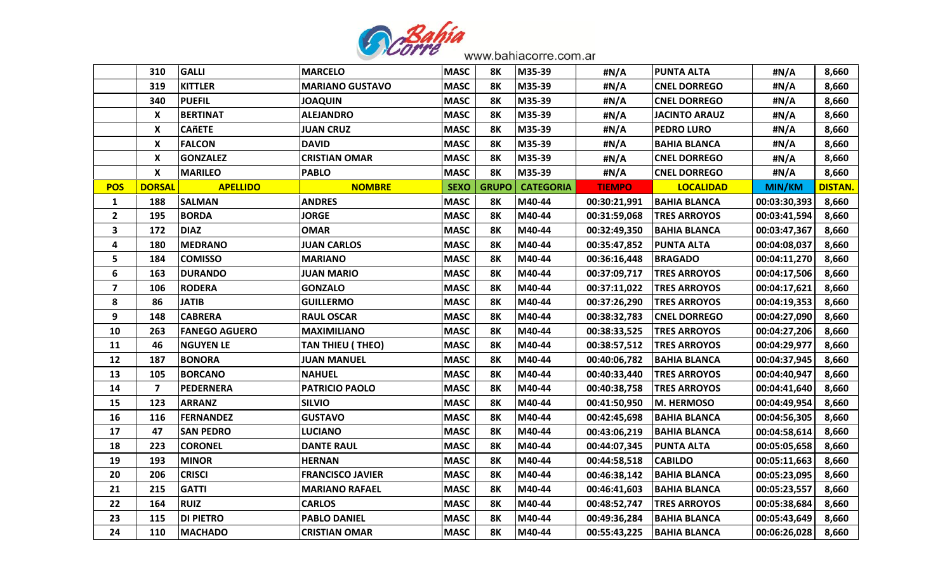

|                         | 310                     | <b>GALLI</b>         | <b>MARCELO</b>          | <b>MASC</b> | 8Κ           | M35-39           | #N/A          | <b>PUNTA ALTA</b>    | #N/A          | 8,660          |
|-------------------------|-------------------------|----------------------|-------------------------|-------------|--------------|------------------|---------------|----------------------|---------------|----------------|
|                         | 319                     | <b>KITTLER</b>       | <b>MARIANO GUSTAVO</b>  | <b>MASC</b> | 8Κ           | M35-39           | #N/A          | <b>CNEL DORREGO</b>  | #N/A          | 8,660          |
|                         | 340                     | <b>PUEFIL</b>        | <b>JOAQUIN</b>          | <b>MASC</b> | 8Κ           | M35-39           | #N/A          | <b>CNEL DORREGO</b>  | #N/A          | 8,660          |
|                         | X                       | <b>BERTINAT</b>      | <b>ALEJANDRO</b>        | <b>MASC</b> | <b>8K</b>    | M35-39           | #N/A          | <b>JACINTO ARAUZ</b> | #N/A          | 8,660          |
|                         | X                       | <b>CAñETE</b>        | <b>JUAN CRUZ</b>        | <b>MASC</b> | 8Κ           | M35-39           | #N/A          | <b>PEDRO LURO</b>    | #N/A          | 8,660          |
|                         | X                       | <b>FALCON</b>        | <b>DAVID</b>            | <b>MASC</b> | 8Κ           | M35-39           | #N/A          | <b>BAHIA BLANCA</b>  | #N/A          | 8,660          |
|                         | X                       | <b>GONZALEZ</b>      | <b>CRISTIAN OMAR</b>    | <b>MASC</b> | <b>8K</b>    | M35-39           | #N/A          | <b>CNEL DORREGO</b>  | #N/A          | 8,660          |
|                         | X                       | <b>MARILEO</b>       | <b>PABLO</b>            | <b>MASC</b> | <b>8K</b>    | M35-39           | #N/A          | <b>CNEL DORREGO</b>  | #N/A          | 8,660          |
| <b>POS</b>              | <b>DORSAL</b>           | <b>APELLIDO</b>      | <b>NOMBRE</b>           | <b>SEXO</b> | <b>GRUPO</b> | <b>CATEGORIA</b> | <b>TIEMPO</b> | <b>LOCALIDAD</b>     | <b>MIN/KM</b> | <b>DISTAN.</b> |
| $\mathbf{1}$            | 188                     | <b>SALMAN</b>        | <b>ANDRES</b>           | <b>MASC</b> | 8Κ           | M40-44           | 00:30:21,991  | <b>BAHIA BLANCA</b>  | 00:03:30,393  | 8,660          |
| $\overline{2}$          | 195                     | <b>BORDA</b>         | <b>JORGE</b>            | <b>MASC</b> | 8Κ           | M40-44           | 00:31:59,068  | <b>TRES ARROYOS</b>  | 00:03:41,594  | 8,660          |
| $\mathbf{3}$            | 172                     | <b>DIAZ</b>          | <b>OMAR</b>             | <b>MASC</b> | 8Κ           | M40-44           | 00:32:49,350  | <b>BAHIA BLANCA</b>  | 00:03:47,367  | 8,660          |
| 4                       | 180                     | <b>MEDRANO</b>       | <b>JUAN CARLOS</b>      | <b>MASC</b> | 8Κ           | M40-44           | 00:35:47,852  | <b>PUNTA ALTA</b>    | 00:04:08,037  | 8,660          |
| 5                       | 184                     | <b>COMISSO</b>       | <b>MARIANO</b>          | <b>MASC</b> | 8Κ           | M40-44           | 00:36:16,448  | <b>BRAGADO</b>       | 00:04:11,270  | 8,660          |
| 6                       | 163                     | <b>DURANDO</b>       | <b>JUAN MARIO</b>       | <b>MASC</b> | <b>8K</b>    | M40-44           | 00:37:09,717  | <b>TRES ARROYOS</b>  | 00:04:17,506  | 8,660          |
| $\overline{\mathbf{z}}$ | 106                     | <b>RODERA</b>        | <b>GONZALO</b>          | <b>MASC</b> | 8Κ           | M40-44           | 00:37:11,022  | <b>TRES ARROYOS</b>  | 00:04:17,621  | 8,660          |
| 8                       | 86                      | <b>JATIB</b>         | <b>GUILLERMO</b>        | <b>MASC</b> | 8Κ           | M40-44           | 00:37:26,290  | <b>TRES ARROYOS</b>  | 00:04:19,353  | 8,660          |
| 9                       | 148                     | <b>CABRERA</b>       | <b>RAUL OSCAR</b>       | <b>MASC</b> | 8Κ           | M40-44           | 00:38:32,783  | <b>CNEL DORREGO</b>  | 00:04:27,090  | 8,660          |
| 10                      | 263                     | <b>FANEGO AGUERO</b> | <b>MAXIMILIANO</b>      | <b>MASC</b> | <b>8K</b>    | M40-44           | 00:38:33,525  | <b>TRES ARROYOS</b>  | 00:04:27,206  | 8,660          |
| 11                      | 46                      | <b>NGUYEN LE</b>     | <b>TAN THIEU (THEO)</b> | <b>MASC</b> | 8Κ           | M40-44           | 00:38:57,512  | <b>TRES ARROYOS</b>  | 00:04:29,977  | 8,660          |
| 12                      | 187                     | <b>BONORA</b>        | <b>JUAN MANUEL</b>      | <b>MASC</b> | 8Κ           | M40-44           | 00:40:06,782  | <b>BAHIA BLANCA</b>  | 00:04:37,945  | 8,660          |
| 13                      | 105                     | <b>BORCANO</b>       | <b>NAHUEL</b>           | <b>MASC</b> | 8K           | M40-44           | 00:40:33,440  | <b>TRES ARROYOS</b>  | 00:04:40,947  | 8,660          |
| 14                      | $\overline{\mathbf{z}}$ | <b>PEDERNERA</b>     | <b>PATRICIO PAOLO</b>   | <b>MASC</b> | <b>8K</b>    | M40-44           | 00:40:38,758  | <b>TRES ARROYOS</b>  | 00:04:41,640  | 8,660          |
| 15                      | 123                     | <b>ARRANZ</b>        | <b>SILVIO</b>           | <b>MASC</b> | 8Κ           | M40-44           | 00:41:50,950  | <b>M. HERMOSO</b>    | 00:04:49,954  | 8,660          |
| 16                      | 116                     | <b>FERNANDEZ</b>     | <b>GUSTAVO</b>          | <b>MASC</b> | <b>8K</b>    | M40-44           | 00:42:45,698  | <b>BAHIA BLANCA</b>  | 00:04:56,305  | 8,660          |
| 17                      | 47                      | <b>SAN PEDRO</b>     | <b>LUCIANO</b>          | <b>MASC</b> | 8Κ           | M40-44           | 00:43:06,219  | <b>BAHIA BLANCA</b>  | 00:04:58,614  | 8,660          |
| 18                      | 223                     | <b>CORONEL</b>       | <b>DANTE RAUL</b>       | <b>MASC</b> | 8Κ           | M40-44           | 00:44:07,345  | <b>PUNTA ALTA</b>    | 00:05:05,658  | 8,660          |
| 19                      | 193                     | <b>MINOR</b>         | <b>HERNAN</b>           | <b>MASC</b> | 8K           | M40-44           | 00:44:58,518  | <b>CABILDO</b>       | 00:05:11,663  | 8,660          |
| 20                      | 206                     | <b>CRISCI</b>        | <b>FRANCISCO JAVIER</b> | <b>MASC</b> | 8Κ           | M40-44           | 00:46:38,142  | <b>BAHIA BLANCA</b>  | 00:05:23,095  | 8,660          |
| 21                      | 215                     | <b>GATTI</b>         | <b>MARIANO RAFAEL</b>   | <b>MASC</b> | <b>8K</b>    | M40-44           | 00:46:41,603  | <b>BAHIA BLANCA</b>  | 00:05:23,557  | 8,660          |
| 22                      | 164                     | <b>RUIZ</b>          | <b>CARLOS</b>           | <b>MASC</b> | 8Κ           | M40-44           | 00:48:52,747  | <b>TRES ARROYOS</b>  | 00:05:38,684  | 8,660          |
| 23                      | 115                     | <b>DI PIETRO</b>     | <b>PABLO DANIEL</b>     | <b>MASC</b> | 8Κ           | M40-44           | 00:49:36,284  | <b>BAHIA BLANCA</b>  | 00:05:43,649  | 8,660          |
| 24                      | 110                     | <b>MACHADO</b>       | <b>CRISTIAN OMAR</b>    | <b>MASC</b> | <b>8K</b>    | M40-44           | 00:55:43,225  | <b>BAHIA BLANCA</b>  | 00:06:26,028  | 8,660          |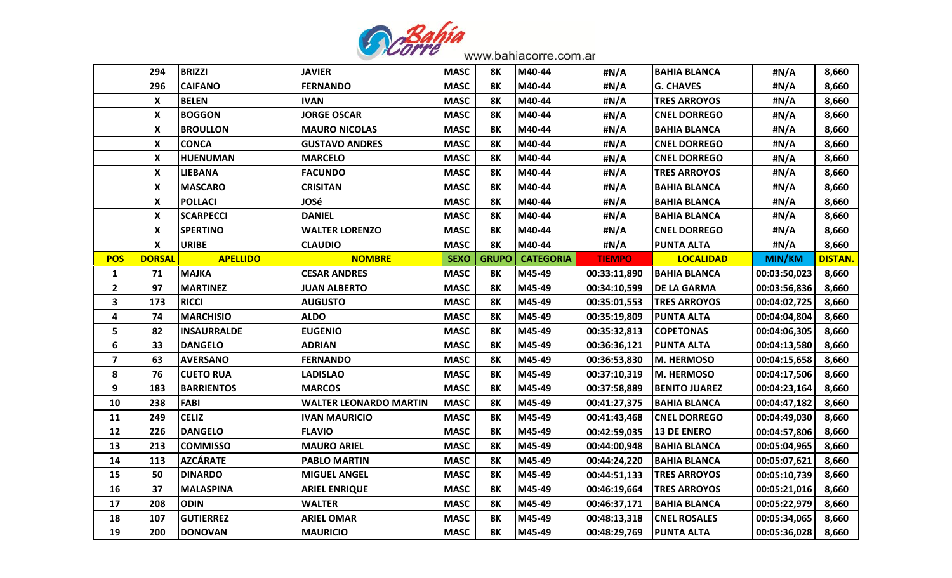

|                         | 294                       | <b>BRIZZI</b>      | <b>JAVIER</b>          | <b>MASC</b> | 8Κ           | M40-44           | #N/A          | <b>BAHIA BLANCA</b>  | #N/A          | 8,660          |
|-------------------------|---------------------------|--------------------|------------------------|-------------|--------------|------------------|---------------|----------------------|---------------|----------------|
|                         | 296                       | <b>CAIFANO</b>     | <b>FERNANDO</b>        | <b>MASC</b> | <b>8K</b>    | M40-44           | #N/A          | <b>G. CHAVES</b>     | #N/A          | 8,660          |
|                         | X                         | <b>BELEN</b>       | <b>IVAN</b>            | <b>MASC</b> | 8Κ           | M40-44           | #N/A          | <b>TRES ARROYOS</b>  | #N/A          | 8,660          |
|                         | $\boldsymbol{\mathsf{x}}$ | <b>BOGGON</b>      | <b>JORGE OSCAR</b>     | <b>MASC</b> | <b>8K</b>    | M40-44           | #N/A          | <b>CNEL DORREGO</b>  | #N/A          | 8,660          |
|                         | X                         | <b>BROULLON</b>    | <b>MAURO NICOLAS</b>   | <b>MASC</b> | 8Κ           | M40-44           | #N/A          | <b>BAHIA BLANCA</b>  | #N/A          | 8,660          |
|                         | X                         | <b>CONCA</b>       | <b>GUSTAVO ANDRES</b>  | <b>MASC</b> | 8Κ           | M40-44           | #N/A          | <b>CNEL DORREGO</b>  | #N/A          | 8,660          |
|                         | X                         | <b>HUENUMAN</b>    | <b>MARCELO</b>         | <b>MASC</b> | <b>8K</b>    | M40-44           | #N/A          | <b>CNEL DORREGO</b>  | #N/A          | 8,660          |
|                         | X                         | <b>LIEBANA</b>     | <b>FACUNDO</b>         | <b>MASC</b> | 8Κ           | M40-44           | #N/A          | <b>TRES ARROYOS</b>  | #N/A          | 8,660          |
|                         | X                         | <b>MASCARO</b>     | CRISITAN               | <b>MASC</b> | 8K           | M40-44           | #N/A          | <b>BAHIA BLANCA</b>  | #N/A          | 8,660          |
|                         | X                         | <b>POLLACI</b>     | <b>JOSé</b>            | <b>MASC</b> | <b>8K</b>    | M40-44           | #N/A          | <b>BAHIA BLANCA</b>  | #N/A          | 8,660          |
|                         | X                         | <b>SCARPECCI</b>   | <b>DANIEL</b>          | <b>MASC</b> | 8Κ           | M40-44           | #N/A          | <b>BAHIA BLANCA</b>  | #N/A          | 8,660          |
|                         | X                         | <b>SPERTINO</b>    | <b>WALTER LORENZO</b>  | <b>MASC</b> | <b>8K</b>    | M40-44           | #N/A          | <b>CNEL DORREGO</b>  | #N/A          | 8,660          |
|                         | X                         | <b>URIBE</b>       | <b>CLAUDIO</b>         | <b>MASC</b> | 8Κ           | M40-44           | #N/A          | <b>PUNTA ALTA</b>    | #N/A          | 8,660          |
| <b>POS</b>              | <b>DORSAL</b>             | <b>APELLIDO</b>    | <b>NOMBRE</b>          | <b>SEXO</b> | <b>GRUPO</b> | <b>CATEGORIA</b> | <b>TIEMPO</b> | <b>LOCALIDAD</b>     | <b>MIN/KM</b> | <b>DISTAN.</b> |
| $\mathbf{1}$            | 71                        | <b>MAJKA</b>       | <b>CESAR ANDRES</b>    | <b>MASC</b> | 8K           | M45-49           | 00:33:11,890  | <b>BAHIA BLANCA</b>  | 00:03:50,023  | 8,660          |
| $\overline{\mathbf{2}}$ | 97                        | <b>MARTINEZ</b>    | <b>JUAN ALBERTO</b>    | <b>MASC</b> | 8Κ           | M45-49           | 00:34:10,599  | <b>DE LA GARMA</b>   | 00:03:56,836  | 8,660          |
| 3                       | 173                       | <b>RICCI</b>       | <b>AUGUSTO</b>         | <b>MASC</b> | 8Κ           | M45-49           | 00:35:01,553  | <b>TRES ARROYOS</b>  | 00:04:02,725  | 8,660          |
| $\overline{\mathbf{4}}$ | 74                        | <b>MARCHISIO</b>   | <b>ALDO</b>            | <b>MASC</b> | 8Κ           | M45-49           | 00:35:19,809  | <b>PUNTA ALTA</b>    | 00:04:04,804  | 8,660          |
| 5                       | 82                        | <b>INSAURRALDE</b> | <b>EUGENIO</b>         | <b>MASC</b> | 8Κ           | M45-49           | 00:35:32,813  | <b>COPETONAS</b>     | 00:04:06,305  | 8,660          |
| 6                       | 33                        | <b>DANGELO</b>     | ADRIAN                 | <b>MASC</b> | 8Κ           | M45-49           | 00:36:36,121  | <b>PUNTA ALTA</b>    | 00:04:13,580  | 8,660          |
| $\overline{\mathbf{z}}$ | 63                        | <b>AVERSANO</b>    | <b>FERNANDO</b>        | <b>MASC</b> | 8Κ           | M45-49           | 00:36:53,830  | M. HERMOSO           | 00:04:15,658  | 8,660          |
| 8                       | 76                        | <b>CUETO RUA</b>   | <b>LADISLAO</b>        | <b>MASC</b> | 8K           | M45-49           | 00:37:10,319  | M. HERMOSO           | 00:04:17,506  | 8,660          |
| 9                       | 183                       | <b>BARRIENTOS</b>  | <b>MARCOS</b>          | <b>MASC</b> | <b>8K</b>    | M45-49           | 00:37:58,889  | <b>BENITO JUAREZ</b> | 00:04:23,164  | 8,660          |
| 10                      | 238                       | <b>FABI</b>        | WALTER LEONARDO MARTIN | <b>MASC</b> | 8Κ           | M45-49           | 00:41:27,375  | <b>BAHIA BLANCA</b>  | 00:04:47,182  | 8,660          |
| 11                      | 249                       | <b>CELIZ</b>       | <b>IVAN MAURICIO</b>   | <b>MASC</b> | 8Κ           | M45-49           | 00:41:43,468  | <b>CNEL DORREGO</b>  | 00:04:49,030  | 8,660          |
| 12                      | 226                       | <b>DANGELO</b>     | <b>FLAVIO</b>          | <b>MASC</b> | 8Κ           | M45-49           | 00:42:59,035  | <b>13 DE ENERO</b>   | 00:04:57,806  | 8,660          |
| 13                      | 213                       | <b>COMMISSO</b>    | <b>MAURO ARIEL</b>     | <b>MASC</b> | 8Κ           | M45-49           | 00:44:00,948  | <b>BAHIA BLANCA</b>  | 00:05:04,965  | 8,660          |
| 14                      | 113                       | <b>AZCÁRATE</b>    | <b>PABLO MARTIN</b>    | <b>MASC</b> | 8K           | M45-49           | 00:44:24,220  | <b>BAHIA BLANCA</b>  | 00:05:07,621  | 8,660          |
| 15                      | 50                        | <b>DINARDO</b>     | <b>MIGUEL ANGEL</b>    | <b>MASC</b> | 8Κ           | M45-49           | 00:44:51,133  | <b>TRES ARROYOS</b>  | 00:05:10,739  | 8,660          |
| 16                      | 37                        | <b>MALASPINA</b>   | <b>ARIEL ENRIQUE</b>   | <b>MASC</b> | <b>8K</b>    | M45-49           | 00:46:19,664  | <b>TRES ARROYOS</b>  | 00:05:21,016  | 8,660          |
| 17                      | 208                       | <b>ODIN</b>        | <b>WALTER</b>          | <b>MASC</b> | <b>8K</b>    | M45-49           | 00:46:37,171  | <b>BAHIA BLANCA</b>  | 00:05:22,979  | 8,660          |
| 18                      | 107                       | <b>GUTIERREZ</b>   | <b>ARIEL OMAR</b>      | <b>MASC</b> | 8Κ           | M45-49           | 00:48:13,318  | <b>CNEL ROSALES</b>  | 00:05:34,065  | 8,660          |
| 19                      | 200                       | <b>DONOVAN</b>     | <b>MAURICIO</b>        | <b>MASC</b> | 8K           | M45-49           | 00:48:29,769  | <b>PUNTA ALTA</b>    | 00:05:36,028  | 8,660          |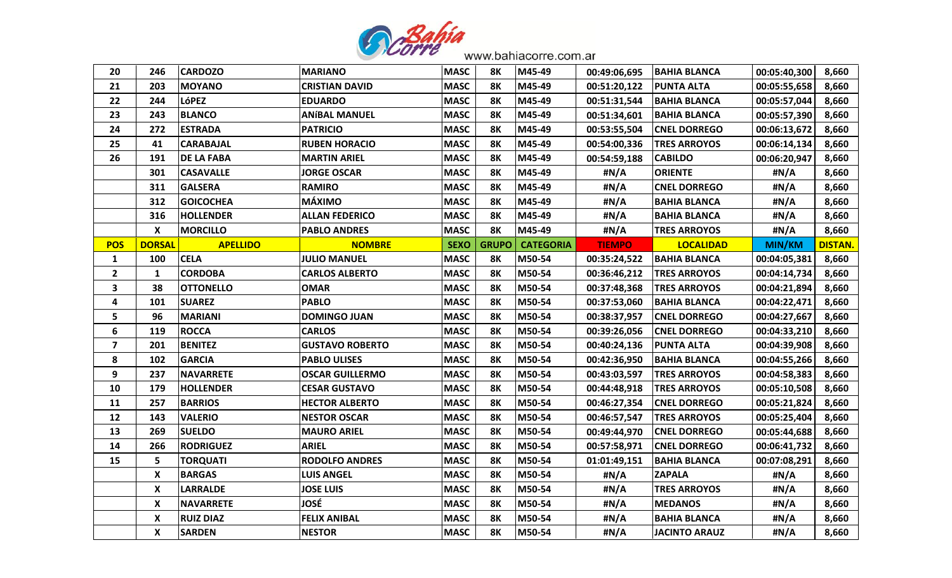

| 20                      | 246                       | <b>CARDOZO</b>    | <b>MARIANO</b>         | <b>MASC</b> | 8K           | M45-49           | 00:49:06,695  | <b>BAHIA BLANCA</b>  | 00:05:40,300  | 8,660          |
|-------------------------|---------------------------|-------------------|------------------------|-------------|--------------|------------------|---------------|----------------------|---------------|----------------|
| 21                      | 203                       | <b>MOYANO</b>     | <b>CRISTIAN DAVID</b>  | <b>MASC</b> | 8K           | M45-49           | 00:51:20,122  | <b>PUNTA ALTA</b>    | 00:05:55,658  | 8,660          |
| 22                      | 244                       | <b>LóPEZ</b>      | <b>EDUARDO</b>         | <b>MASC</b> | 8К           | M45-49           | 00:51:31,544  | <b>BAHIA BLANCA</b>  | 00:05:57,044  | 8,660          |
| 23                      | 243                       | <b>BLANCO</b>     | <b>ANÍBAL MANUEL</b>   | <b>MASC</b> | 8K           | M45-49           | 00:51:34,601  | <b>BAHIA BLANCA</b>  | 00:05:57,390  | 8,660          |
| 24                      | 272                       | <b>ESTRADA</b>    | <b>PATRICIO</b>        | <b>MASC</b> | 8К           | M45-49           | 00:53:55,504  | <b>CNEL DORREGO</b>  | 00:06:13,672  | 8,660          |
| 25                      | 41                        | <b>CARABAJAL</b>  | <b>RUBEN HORACIO</b>   | <b>MASC</b> | 8Κ           | M45-49           | 00:54:00,336  | <b>TRES ARROYOS</b>  | 00:06:14,134  | 8,660          |
| 26                      | 191                       | <b>DE LA FABA</b> | <b>MARTIN ARIEL</b>    | <b>MASC</b> | 8Κ           | M45-49           | 00:54:59,188  | <b>CABILDO</b>       | 00:06:20,947  | 8,660          |
|                         | 301                       | <b>CASAVALLE</b>  | <b>JORGE OSCAR</b>     | <b>MASC</b> | 8K           | M45-49           | #N/A          | <b>ORIENTE</b>       | #N/A          | 8,660          |
|                         | 311                       | <b>GALSERA</b>    | <b>RAMIRO</b>          | <b>MASC</b> | 8K           | M45-49           | #N/A          | <b>CNEL DORREGO</b>  | #N/A          | 8,660          |
|                         | 312                       | <b>GOICOCHEA</b>  | <b>MÁXIMO</b>          | <b>MASC</b> | 8K           | M45-49           | #N/A          | <b>BAHIA BLANCA</b>  | #N/A          | 8,660          |
|                         | 316                       | <b>HOLLENDER</b>  | <b>ALLAN FEDERICO</b>  | <b>MASC</b> | 8K           | M45-49           | #N/A          | BAHIA BLANCA         | #N/A          | 8,660          |
|                         | $\boldsymbol{\mathsf{X}}$ | <b>MORCILLO</b>   | <b>PABLO ANDRES</b>    | <b>MASC</b> | <b>8K</b>    | M45-49           | #N/A          | <b>TRES ARROYOS</b>  | #N/A          | 8,660          |
| <b>POS</b>              | <b>DORSAL</b>             | <b>APELLIDO</b>   | <b>NOMBRE</b>          | <b>SEXO</b> | <b>GRUPO</b> | <b>CATEGORIA</b> | <b>TIEMPO</b> | <b>LOCALIDAD</b>     | <b>MIN/KM</b> | <b>DISTAN.</b> |
| $\mathbf{1}$            | 100                       | <b>CELA</b>       | <b>JULIO MANUEL</b>    | <b>MASC</b> | 8Κ           | M50-54           | 00:35:24,522  | <b>BAHIA BLANCA</b>  | 00:04:05,381  | 8,660          |
| $\overline{2}$          | $\mathbf{1}$              | <b>CORDOBA</b>    | <b>CARLOS ALBERTO</b>  | <b>MASC</b> | 8K           | M50-54           | 00:36:46,212  | <b>TRES ARROYOS</b>  | 00:04:14,734  | 8,660          |
| $\mathbf{3}$            | 38                        | <b>OTTONELLO</b>  | <b>OMAR</b>            | <b>MASC</b> | 8Κ           | M50-54           | 00:37:48,368  | <b>TRES ARROYOS</b>  | 00:04:21,894  | 8,660          |
| 4                       | 101                       | <b>SUAREZ</b>     | <b>PABLO</b>           | <b>MASC</b> | 8Κ           | M50-54           | 00:37:53,060  | <b>BAHIA BLANCA</b>  | 00:04:22,471  | 8,660          |
| 5                       | 96                        | <b>MARIANI</b>    | <b>DOMINGO JUAN</b>    | <b>MASC</b> | 8Κ           | M50-54           | 00:38:37,957  | <b> CNEL DORREGO</b> | 00:04:27,667  | 8,660          |
| 6                       | 119                       | <b>ROCCA</b>      | <b>CARLOS</b>          | <b>MASC</b> | 8K           | M50-54           | 00:39:26,056  | <b>CNEL DORREGO</b>  | 00:04:33,210  | 8,660          |
| $\overline{\mathbf{z}}$ | 201                       | <b>BENITEZ</b>    | <b>GUSTAVO ROBERTO</b> | <b>MASC</b> | 8Κ           | M50-54           | 00:40:24,136  | <b>PUNTA ALTA</b>    | 00:04:39,908  | 8,660          |
| 8                       | 102                       | <b>GARCIA</b>     | <b>PABLO ULISES</b>    | <b>MASC</b> | 8K           | M50-54           | 00:42:36,950  | <b>BAHIA BLANCA</b>  | 00:04:55,266  | 8,660          |
| 9                       | 237                       | <b>NAVARRETE</b>  | <b>OSCAR GUILLERMO</b> | <b>MASC</b> | 8Κ           | M50-54           | 00:43:03,597  | <b>TRES ARROYOS</b>  | 00:04:58,383  | 8,660          |
| 10                      | 179                       | <b>HOLLENDER</b>  | <b>CESAR GUSTAVO</b>   | <b>MASC</b> | <b>8K</b>    | M50-54           | 00:44:48,918  | <b>TRES ARROYOS</b>  | 00:05:10,508  | 8,660          |
| 11                      | 257                       | <b>BARRIOS</b>    | <b>HECTOR ALBERTO</b>  | <b>MASC</b> | 8К           | M50-54           | 00:46:27,354  | <b>CNEL DORREGO</b>  | 00:05:21,824  | 8,660          |
| 12                      | 143                       | <b>VALERIO</b>    | <b>NESTOR OSCAR</b>    | <b>MASC</b> | 8Κ           | M50-54           | 00:46:57,547  | <b>TRES ARROYOS</b>  | 00:05:25,404  | 8,660          |
| 13                      | 269                       | <b>SUELDO</b>     | <b>MAURO ARIEL</b>     | <b>MASC</b> | 8K           | M50-54           | 00:49:44,970  | <b>CNEL DORREGO</b>  | 00:05:44,688  | 8,660          |
| 14                      | 266                       | <b>RODRIGUEZ</b>  | <b>ARIEL</b>           | <b>MASC</b> | 8Κ           | M50-54           | 00:57:58,971  | <b>CNEL DORREGO</b>  | 00:06:41,732  | 8,660          |
| 15                      | 5                         | <b>TORQUATI</b>   | <b>RODOLFO ANDRES</b>  | <b>MASC</b> | 8Κ           | M50-54           | 01:01:49,151  | <b>BAHIA BLANCA</b>  | 00:07:08,291  | 8,660          |
|                         | X                         | <b>BARGAS</b>     | <b>LUIS ANGEL</b>      | <b>MASC</b> | 8Κ           | M50-54           | #N/A          | <b>ZAPALA</b>        | #N/A          | 8,660          |
|                         | X                         | <b>LARRALDE</b>   | <b>JOSE LUIS</b>       | <b>MASC</b> | <b>8K</b>    | M50-54           | #N/A          | <b>TRES ARROYOS</b>  | #N/A          | 8,660          |
|                         | X                         | <b>NAVARRETE</b>  | JOSÉ                   | <b>MASC</b> | <b>8K</b>    | M50-54           | #N/A          | <b>MEDANOS</b>       | #N/A          | 8,660          |
|                         | X                         | <b>RUIZ DIAZ</b>  | <b>FELIX ANIBAL</b>    | <b>MASC</b> | 8Κ           | M50-54           | #N/A          | <b>BAHIA BLANCA</b>  | #N/A          | 8,660          |
|                         | X                         | <b>SARDEN</b>     | <b>NESTOR</b>          | <b>MASC</b> | 8K           | M50-54           | #N/A          | <b>JACINTO ARAUZ</b> | #N/A          | 8,660          |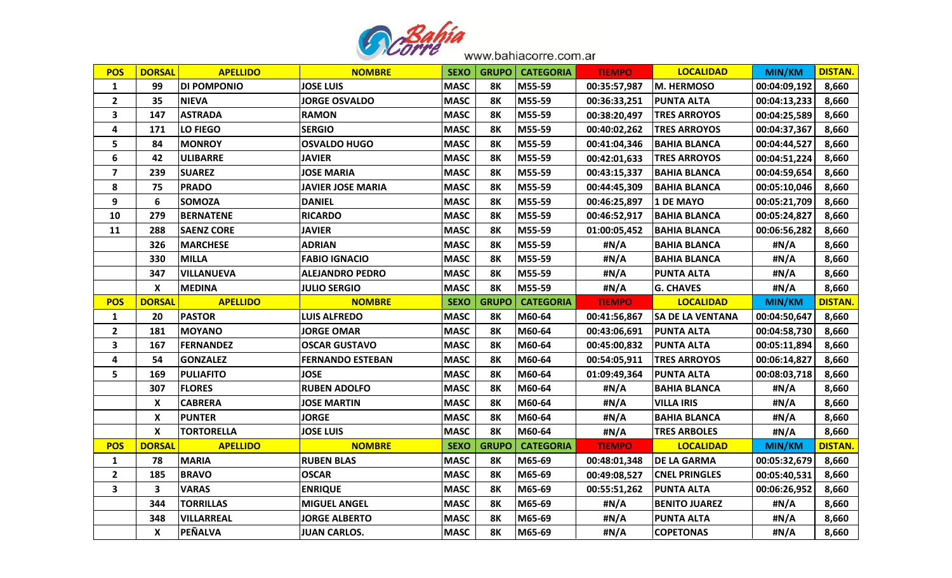

| <b>POS</b>              | <b>DORSAL</b>           | <b>APELLIDO</b>   | <b>NOMBRE</b>            | <b>SEXO</b> | <b>GRUPO</b> | <b>CATEGORIA</b> | <b>TIEMPO</b> | <b>LOCALIDAD</b>        | MIN/KM        | <b>DISTAN.</b> |
|-------------------------|-------------------------|-------------------|--------------------------|-------------|--------------|------------------|---------------|-------------------------|---------------|----------------|
| $\mathbf{1}$            | 99                      | DI POMPONIO       | <b>JOSE LUIS</b>         | <b>MASC</b> | <b>8K</b>    | M55-59           | 00:35:57,987  | M. HERMOSO              | 00:04:09,192  | 8,660          |
| $\mathbf{2}$            | 35                      | <b>NIEVA</b>      | <b>JORGE OSVALDO</b>     | <b>MASC</b> | 8K           | M55-59           | 00:36:33,251  | <b>PUNTA ALTA</b>       | 00:04:13,233  | 8,660          |
| 3                       | 147                     | <b>ASTRADA</b>    | <b>RAMON</b>             | <b>MASC</b> | <b>8K</b>    | M55-59           | 00:38:20,497  | <b>TRES ARROYOS</b>     | 00:04:25,589  | 8,660          |
| 4                       | 171                     | <b>LO FIEGO</b>   | <b>SERGIO</b>            | <b>MASC</b> | <b>8K</b>    | M55-59           | 00:40:02,262  | <b>TRES ARROYOS</b>     | 00:04:37,367  | 8,660          |
| 5                       | 84                      | <b>MONROY</b>     | <b>OSVALDO HUGO</b>      | <b>MASC</b> | <b>8K</b>    | M55-59           | 00:41:04,346  | <b>BAHIA BLANCA</b>     | 00:04:44,527  | 8,660          |
| 6                       | 42                      | <b>ULIBARRE</b>   | <b>JAVIER</b>            | <b>MASC</b> | <b>8K</b>    | M55-59           | 00:42:01,633  | <b>TRES ARROYOS</b>     | 00:04:51,224  | 8,660          |
| $\overline{\mathbf{z}}$ | 239                     | <b>SUAREZ</b>     | <b>JOSE MARIA</b>        | <b>MASC</b> | <b>8K</b>    | M55-59           | 00:43:15,337  | <b>BAHIA BLANCA</b>     | 00:04:59,654  | 8,660          |
| 8                       | 75                      | <b>PRADO</b>      | <b>JAVIER JOSE MARIA</b> | <b>MASC</b> | <b>8K</b>    | M55-59           | 00:44:45,309  | <b>BAHIA BLANCA</b>     | 00:05:10,046  | 8,660          |
| 9                       | 6                       | <b>SOMOZA</b>     | <b>DANIEL</b>            | <b>MASC</b> | 8Κ           | M55-59           | 00:46:25,897  | 1 DE MAYO               | 00:05:21,709  | 8,660          |
| 10                      | 279                     | <b>BERNATENE</b>  | <b>RICARDO</b>           | <b>MASC</b> | <b>8K</b>    | M55-59           | 00:46:52,917  | <b>BAHIA BLANCA</b>     | 00:05:24,827  | 8,660          |
| 11                      | 288                     | <b>SAENZ CORE</b> | <b>JAVIER</b>            | <b>MASC</b> | <b>8K</b>    | M55-59           | 01:00:05,452  | BAHIA BLANCA            | 00:06:56,282  | 8,660          |
|                         | 326                     | <b>MARCHESE</b>   | <b>ADRIAN</b>            | <b>MASC</b> | <b>8K</b>    | M55-59           | #N/A          | <b>BAHIA BLANCA</b>     | #N/A          | 8,660          |
|                         | 330                     | <b>MILLA</b>      | <b>FABIO IGNACIO</b>     | <b>MASC</b> | <b>8K</b>    | M55-59           | #N/A          | <b>BAHIA BLANCA</b>     | #N/A          | 8,660          |
|                         | 347                     | <b>VILLANUEVA</b> | <b>ALEJANDRO PEDRO</b>   | <b>MASC</b> | <b>8K</b>    | M55-59           | #N/A          | <b>PUNTA ALTA</b>       | #N/A          | 8,660          |
|                         | X                       | MEDINA            | <b>JULIO SERGIO</b>      | <b>MASC</b> | <b>8K</b>    | M55-59           | #N/A          | <b>G. CHAVES</b>        | #N/A          | 8,660          |
| <b>POS</b>              | <b>DORSAL</b>           | <b>APELLIDO</b>   | <b>NOMBRE</b>            | <b>SEXO</b> | <b>GRUPO</b> | <b>CATEGORIA</b> | <b>TIEMPO</b> | <b>LOCALIDAD</b>        | <b>MIN/KM</b> | <b>DISTAN.</b> |
| $\mathbf{1}$            | 20                      | <b>PASTOR</b>     | <b>LUIS ALFREDO</b>      | <b>MASC</b> | <b>8K</b>    | M60-64           | 00:41:56,867  | <b>SA DE LA VENTANA</b> | 00:04:50,647  | 8,660          |
| $\mathbf{2}$            | 181                     | <b>MOYANO</b>     | <b>JORGE OMAR</b>        | <b>MASC</b> | <b>8K</b>    | M60-64           | 00:43:06,691  | <b>PUNTA ALTA</b>       | 00:04:58,730  | 8,660          |
| 3                       | 167                     | <b>FERNANDEZ</b>  | <b>OSCAR GUSTAVO</b>     | <b>MASC</b> | <b>8K</b>    | M60-64           | 00:45:00,832  | <b>PUNTA ALTA</b>       | 00:05:11,894  | 8,660          |
| 4                       | 54                      | <b>GONZALEZ</b>   | <b>FERNANDO ESTEBAN</b>  | <b>MASC</b> | <b>8K</b>    | M60-64           | 00:54:05,911  | <b>TRES ARROYOS</b>     | 00:06:14,827  | 8,660          |
| 5                       | 169                     | <b>PULIAFITO</b>  | <b>JOSE</b>              | <b>MASC</b> | <b>8K</b>    | M60-64           | 01:09:49,364  | <b>PUNTA ALTA</b>       | 00:08:03,718  | 8,660          |
|                         | 307                     | <b>FLORES</b>     | <b>RUBEN ADOLFO</b>      | <b>MASC</b> | <b>8K</b>    | M60-64           | #N/A          | <b>BAHIA BLANCA</b>     | #N/A          | 8,660          |
|                         | X                       | <b>CABRERA</b>    | <b>JOSE MARTIN</b>       | <b>MASC</b> | <b>8K</b>    | M60-64           | #N/A          | <b>VILLA IRIS</b>       | #N/A          | 8,660          |
|                         | X                       | <b>PUNTER</b>     | <b>JORGE</b>             | <b>MASC</b> | <b>8K</b>    | M60-64           | #N/A          | <b>BAHIA BLANCA</b>     | #N/A          | 8,660          |
|                         | X                       | <b>TORTORELLA</b> | <b>JOSE LUIS</b>         | <b>MASC</b> | <b>8K</b>    | M60-64           | #N/A          | <b>TRES ARBOLES</b>     | #N/A          | 8,660          |
| <b>POS</b>              | <b>DORSAL</b>           | <b>APELLIDO</b>   | <b>NOMBRE</b>            | <b>SEXO</b> | <b>GRUPO</b> | <b>CATEGORIA</b> | <b>TIEMPO</b> | <b>LOCALIDAD</b>        | <b>MIN/KM</b> | <b>DISTAN.</b> |
| $\mathbf{1}$            | 78                      | <b>MARIA</b>      | <b>RUBEN BLAS</b>        | <b>MASC</b> | <b>8K</b>    | M65-69           | 00:48:01,348  | <b>DE LA GARMA</b>      | 00:05:32,679  | 8,660          |
| $\mathbf{2}$            | 185                     | <b>BRAVO</b>      | <b>OSCAR</b>             | <b>MASC</b> | <b>8K</b>    | M65-69           | 00:49:08,527  | <b>CNEL PRINGLES</b>    | 00:05:40,531  | 8,660          |
| 3                       | $\overline{\mathbf{3}}$ | <b>VARAS</b>      | <b>ENRIQUE</b>           | <b>MASC</b> | <b>8K</b>    | M65-69           | 00:55:51,262  | <b>PUNTA ALTA</b>       | 00:06:26,952  | 8,660          |
|                         | 344                     | <b>TORRILLAS</b>  | <b>MIGUEL ANGEL</b>      | <b>MASC</b> | 8Κ           | M65-69           | #N/A          | <b>BENITO JUAREZ</b>    | #N/A          | 8,660          |
|                         | 348                     | <b>VILLARREAL</b> | <b>JORGE ALBERTO</b>     | <b>MASC</b> | <b>8K</b>    | M65-69           | #N/A          | <b>PUNTA ALTA</b>       | #N/A          | 8,660          |
|                         | X                       | PEÑALVA           | <b>JUAN CARLOS.</b>      | <b>MASC</b> | <b>8K</b>    | M65-69           | #N/A          | <b>COPETONAS</b>        | #N/A          | 8,660          |